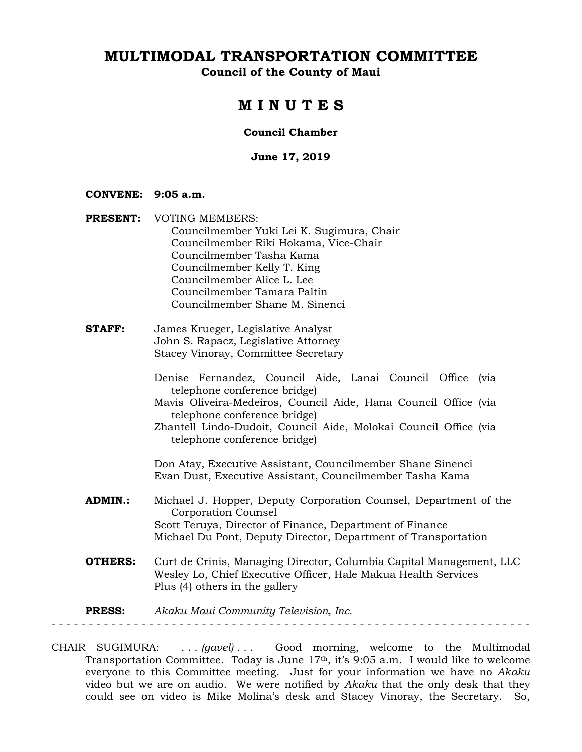**Council of the County of Maui** 

### **M I N U T E S**

#### **Council Chamber**

#### **June 17, 2019**

#### **CONVENE: 9:05 a.m.**

- **PRESENT:** VOTING MEMBERS: Councilmember Yuki Lei K. Sugimura, Chair Councilmember Riki Hokama, Vice-Chair Councilmember Tasha Kama Councilmember Kelly T. King Councilmember Alice L. Lee Councilmember Tamara Paltin Councilmember Shane M. Sinenci
- **STAFF:** James Krueger, Legislative Analyst John S. Rapacz, Legislative Attorney Stacey Vinoray, Committee Secretary
	- Denise Fernandez, Council Aide, Lanai Council Office (via telephone conference bridge)
	- Mavis Oliveira-Medeiros, Council Aide, Hana Council Office (via telephone conference bridge)
	- Zhantell Lindo-Dudoit, Council Aide, Molokai Council Office (via telephone conference bridge)

Don Atay, Executive Assistant, Councilmember Shane Sinenci Evan Dust, Executive Assistant, Councilmember Tasha Kama

- **ADMIN.:** Michael J. Hopper, Deputy Corporation Counsel, Department of the Corporation Counsel Scott Teruya, Director of Finance, Department of Finance Michael Du Pont, Deputy Director, Department of Transportation
- **OTHERS:** Curt de Crinis, Managing Director, Columbia Capital Management, LLC Wesley Lo, Chief Executive Officer, Hale Makua Health Services Plus (4) others in the gallery

**PRESS:** *Akaku Maui Community Television, Inc.* 

- - - - - - - - - - - - - - - - - - - - - - - - - - - - - - - - - - - - - - - - - - - - - - - - - - - - - - - - - - - - - - - -

CHAIR SUGIMURA: . . . *(gavel)* . . . Good morning, welcome to the Multimodal Transportation Committee. Today is June  $17<sup>th</sup>$ , it's 9:05 a.m. I would like to welcome everyone to this Committee meeting. Just for your information we have no *Akaku* video but we are on audio. We were notified by *Akaku* that the only desk that they could see on video is Mike Molina's desk and Stacey Vinoray, the Secretary. So,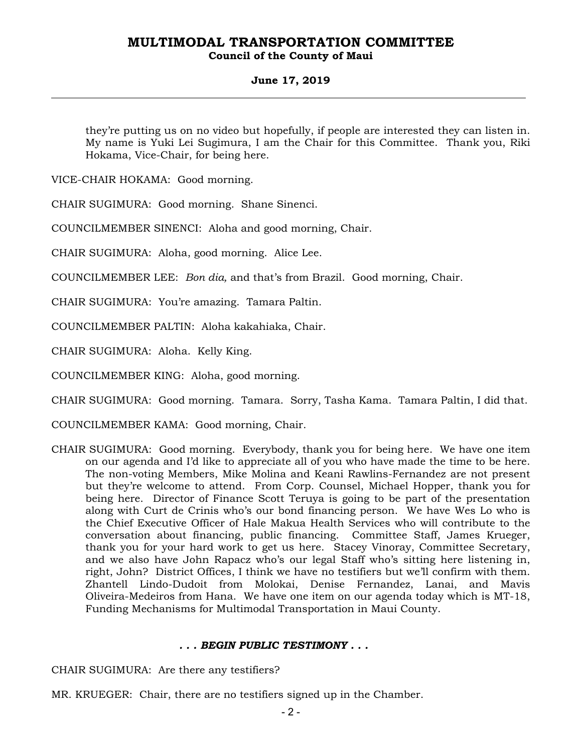#### **Council of the County of Maui**

#### **June 17, 2019**

they're putting us on no video but hopefully, if people are interested they can listen in. My name is Yuki Lei Sugimura, I am the Chair for this Committee. Thank you, Riki Hokama, Vice-Chair, for being here.

VICE-CHAIR HOKAMA: Good morning.

CHAIR SUGIMURA: Good morning. Shane Sinenci.

COUNCILMEMBER SINENCI: Aloha and good morning, Chair.

CHAIR SUGIMURA: Aloha, good morning. Alice Lee.

COUNCILMEMBER LEE: *Bon dia,* and that's from Brazil. Good morning, Chair.

CHAIR SUGIMURA: You're amazing. Tamara Paltin.

COUNCILMEMBER PALTIN: Aloha kakahiaka, Chair.

CHAIR SUGIMURA: Aloha. Kelly King.

COUNCILMEMBER KING: Aloha, good morning.

CHAIR SUGIMURA: Good morning. Tamara. Sorry, Tasha Kama. Tamara Paltin, I did that.

COUNCILMEMBER KAMA: Good morning, Chair.

CHAIR SUGIMURA: Good morning. Everybody, thank you for being here. We have one item on our agenda and I'd like to appreciate all of you who have made the time to be here. The non-voting Members, Mike Molina and Keani Rawlins-Fernandez are not present but they're welcome to attend. From Corp. Counsel, Michael Hopper, thank you for being here. Director of Finance Scott Teruya is going to be part of the presentation along with Curt de Crinis who's our bond financing person. We have Wes Lo who is the Chief Executive Officer of Hale Makua Health Services who will contribute to the conversation about financing, public financing. Committee Staff, James Krueger, thank you for your hard work to get us here. Stacey Vinoray, Committee Secretary, and we also have John Rapacz who's our legal Staff who's sitting here listening in, right, John? District Offices, I think we have no testifiers but we'll confirm with them. Zhantell Lindo-Dudoit from Molokai, Denise Fernandez, Lanai, and Mavis Oliveira-Medeiros from Hana. We have one item on our agenda today which is MT-18, Funding Mechanisms for Multimodal Transportation in Maui County.

#### *. . . BEGIN PUBLIC TESTIMONY . . .*

CHAIR SUGIMURA: Are there any testifiers?

MR. KRUEGER: Chair, there are no testifiers signed up in the Chamber.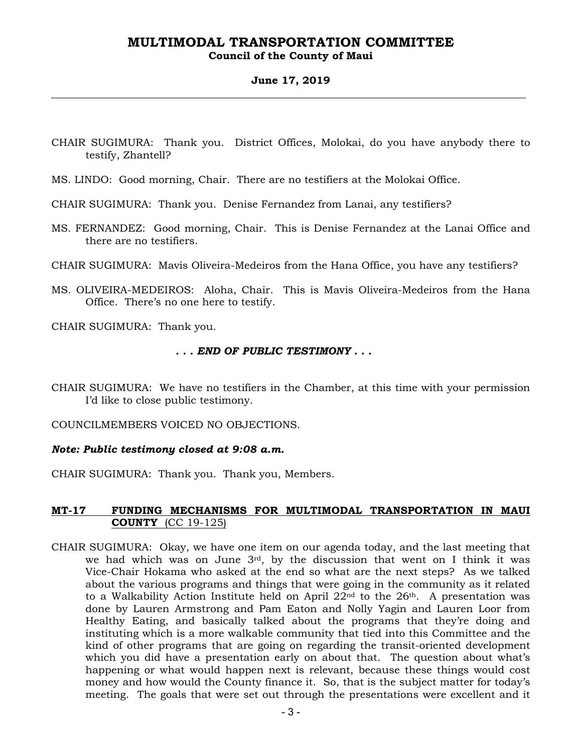#### **Council of the County of Maui**

#### **June 17, 2019**

CHAIR SUGIMURA: Thank you. District Offices, Molokai, do you have anybody there to testify, Zhantell?

MS. LINDO: Good morning, Chair. There are no testifiers at the Molokai Office.

CHAIR SUGIMURA: Thank you. Denise Fernandez from Lanai, any testifiers?

- MS. FERNANDEZ: Good morning, Chair. This is Denise Fernandez at the Lanai Office and there are no testifiers.
- CHAIR SUGIMURA: Mavis Oliveira-Medeiros from the Hana Office, you have any testifiers?
- MS. OLIVEIRA-MEDEIROS: Aloha, Chair. This is Mavis Oliveira-Medeiros from the Hana Office. There's no one here to testify.

CHAIR SUGIMURA: Thank you.

#### *. . . END OF PUBLIC TESTIMONY . . .*

CHAIR SUGIMURA: We have no testifiers in the Chamber, at this time with your permission I'd like to close public testimony.

COUNCILMEMBERS VOICED NO OBJECTIONS.

#### *Note: Public testimony closed at 9:08 a.m.*

CHAIR SUGIMURA: Thank you. Thank you, Members.

#### **MT-17 FUNDING MECHANISMS FOR MULTIMODAL TRANSPORTATION IN MAUI COUNTY** (CC 19-125)

CHAIR SUGIMURA: Okay, we have one item on our agenda today, and the last meeting that we had which was on June  $3<sup>rd</sup>$ , by the discussion that went on I think it was Vice-Chair Hokama who asked at the end so what are the next steps? As we talked about the various programs and things that were going in the community as it related to a Walkability Action Institute held on April  $22<sup>nd</sup>$  to the  $26<sup>th</sup>$ . A presentation was done by Lauren Armstrong and Pam Eaton and Nolly Yagin and Lauren Loor from Healthy Eating, and basically talked about the programs that they're doing and instituting which is a more walkable community that tied into this Committee and the kind of other programs that are going on regarding the transit-oriented development which you did have a presentation early on about that. The question about what's happening or what would happen next is relevant, because these things would cost money and how would the County finance it. So, that is the subject matter for today's meeting. The goals that were set out through the presentations were excellent and it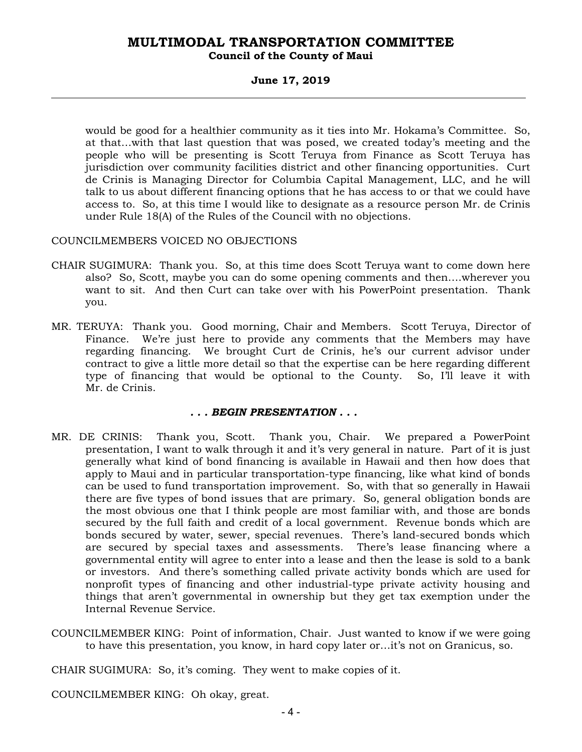#### **Council of the County of Maui**

#### **June 17, 2019**

would be good for a healthier community as it ties into Mr. Hokama's Committee. So, at that…with that last question that was posed, we created today's meeting and the people who will be presenting is Scott Teruya from Finance as Scott Teruya has jurisdiction over community facilities district and other financing opportunities. Curt de Crinis is Managing Director for Columbia Capital Management, LLC, and he will talk to us about different financing options that he has access to or that we could have access to. So, at this time I would like to designate as a resource person Mr. de Crinis under Rule 18(A) of the Rules of the Council with no objections.

#### COUNCILMEMBERS VOICED NO OBJECTIONS

- CHAIR SUGIMURA: Thank you. So, at this time does Scott Teruya want to come down here also? So, Scott, maybe you can do some opening comments and then….wherever you want to sit. And then Curt can take over with his PowerPoint presentation. Thank you.
- MR. TERUYA: Thank you. Good morning, Chair and Members. Scott Teruya, Director of Finance. We're just here to provide any comments that the Members may have regarding financing. We brought Curt de Crinis, he's our current advisor under contract to give a little more detail so that the expertise can be here regarding different type of financing that would be optional to the County. So, I'll leave it with Mr. de Crinis.

#### *. . . BEGIN PRESENTATION . . .*

- MR. DE CRINIS: Thank you, Scott. Thank you, Chair. We prepared a PowerPoint presentation, I want to walk through it and it's very general in nature. Part of it is just generally what kind of bond financing is available in Hawaii and then how does that apply to Maui and in particular transportation-type financing, like what kind of bonds can be used to fund transportation improvement. So, with that so generally in Hawaii there are five types of bond issues that are primary. So, general obligation bonds are the most obvious one that I think people are most familiar with, and those are bonds secured by the full faith and credit of a local government. Revenue bonds which are bonds secured by water, sewer, special revenues. There's land-secured bonds which are secured by special taxes and assessments. There's lease financing where a governmental entity will agree to enter into a lease and then the lease is sold to a bank or investors. And there's something called private activity bonds which are used for nonprofit types of financing and other industrial-type private activity housing and things that aren't governmental in ownership but they get tax exemption under the Internal Revenue Service.
- COUNCILMEMBER KING: Point of information, Chair. Just wanted to know if we were going to have this presentation, you know, in hard copy later or…it's not on Granicus, so.

CHAIR SUGIMURA: So, it's coming. They went to make copies of it.

COUNCILMEMBER KING: Oh okay, great.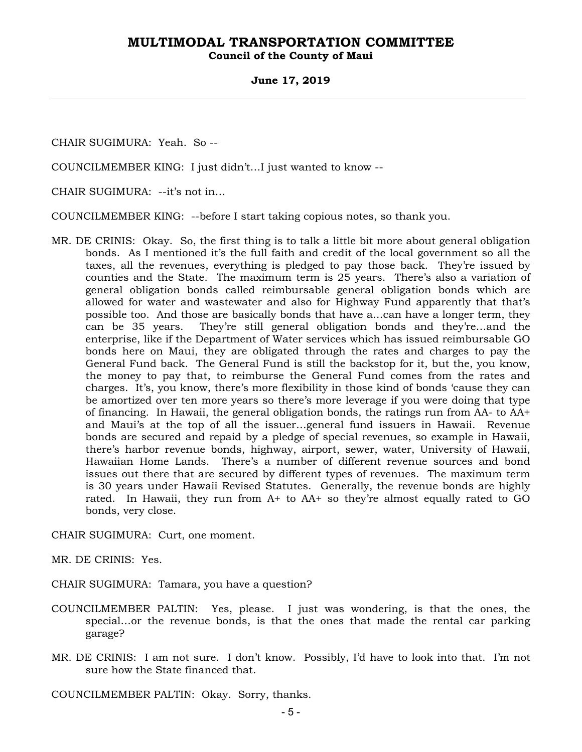**Council of the County of Maui** 

#### **June 17, 2019**

CHAIR SUGIMURA: Yeah. So --

COUNCILMEMBER KING: I just didn't…I just wanted to know --

CHAIR SUGIMURA: --it's not in…

COUNCILMEMBER KING: --before I start taking copious notes, so thank you.

MR. DE CRINIS: Okay. So, the first thing is to talk a little bit more about general obligation bonds. As I mentioned it's the full faith and credit of the local government so all the taxes, all the revenues, everything is pledged to pay those back. They're issued by counties and the State. The maximum term is 25 years. There's also a variation of general obligation bonds called reimbursable general obligation bonds which are allowed for water and wastewater and also for Highway Fund apparently that that's possible too. And those are basically bonds that have a…can have a longer term, they can be 35 years. They're still general obligation bonds and they're…and the enterprise, like if the Department of Water services which has issued reimbursable GO bonds here on Maui, they are obligated through the rates and charges to pay the General Fund back. The General Fund is still the backstop for it, but the, you know, the money to pay that, to reimburse the General Fund comes from the rates and charges. It's, you know, there's more flexibility in those kind of bonds 'cause they can be amortized over ten more years so there's more leverage if you were doing that type of financing. In Hawaii, the general obligation bonds, the ratings run from AA- to AA+ and Maui's at the top of all the issuer…general fund issuers in Hawaii. Revenue bonds are secured and repaid by a pledge of special revenues, so example in Hawaii, there's harbor revenue bonds, highway, airport, sewer, water, University of Hawaii, Hawaiian Home Lands. There's a number of different revenue sources and bond issues out there that are secured by different types of revenues. The maximum term is 30 years under Hawaii Revised Statutes. Generally, the revenue bonds are highly rated. In Hawaii, they run from A+ to AA+ so they're almost equally rated to GO bonds, very close.

CHAIR SUGIMURA: Curt, one moment.

MR. DE CRINIS: Yes.

CHAIR SUGIMURA: Tamara, you have a question?

- COUNCILMEMBER PALTIN: Yes, please. I just was wondering, is that the ones, the special…or the revenue bonds, is that the ones that made the rental car parking garage?
- MR. DE CRINIS: I am not sure. I don't know. Possibly, I'd have to look into that. I'm not sure how the State financed that.

COUNCILMEMBER PALTIN: Okay. Sorry, thanks.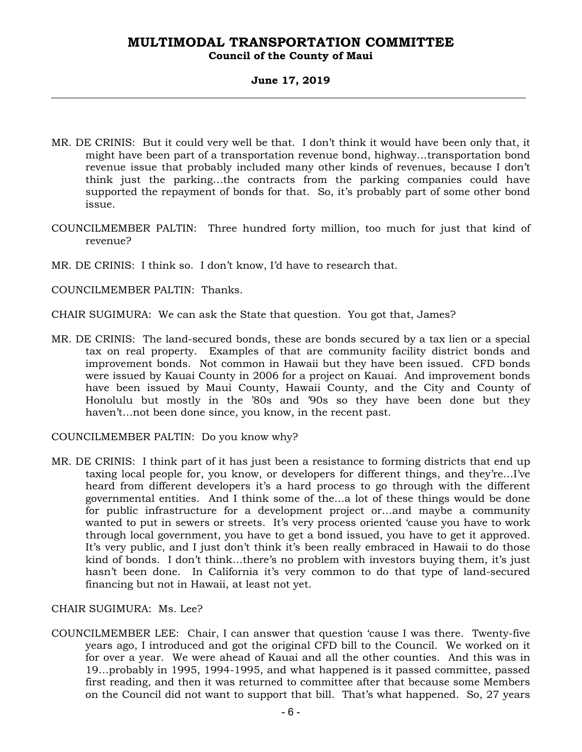#### **Council of the County of Maui**

#### **June 17, 2019**

- MR. DE CRINIS: But it could very well be that. I don't think it would have been only that, it might have been part of a transportation revenue bond, highway…transportation bond revenue issue that probably included many other kinds of revenues, because I don't think just the parking…the contracts from the parking companies could have supported the repayment of bonds for that. So, it's probably part of some other bond issue.
- COUNCILMEMBER PALTIN: Three hundred forty million, too much for just that kind of revenue?
- MR. DE CRINIS: I think so. I don't know, I'd have to research that.

COUNCILMEMBER PALTIN: Thanks.

CHAIR SUGIMURA: We can ask the State that question. You got that, James?

MR. DE CRINIS: The land-secured bonds, these are bonds secured by a tax lien or a special tax on real property. Examples of that are community facility district bonds and improvement bonds. Not common in Hawaii but they have been issued. CFD bonds were issued by Kauai County in 2006 for a project on Kauai. And improvement bonds have been issued by Maui County, Hawaii County, and the City and County of Honolulu but mostly in the '80s and '90s so they have been done but they haven't…not been done since, you know, in the recent past.

COUNCILMEMBER PALTIN: Do you know why?

MR. DE CRINIS: I think part of it has just been a resistance to forming districts that end up taxing local people for, you know, or developers for different things, and they're…I've heard from different developers it's a hard process to go through with the different governmental entities. And I think some of the…a lot of these things would be done for public infrastructure for a development project or…and maybe a community wanted to put in sewers or streets. It's very process oriented 'cause you have to work through local government, you have to get a bond issued, you have to get it approved. It's very public, and I just don't think it's been really embraced in Hawaii to do those kind of bonds. I don't think…there's no problem with investors buying them, it's just hasn't been done. In California it's very common to do that type of land-secured financing but not in Hawaii, at least not yet.

#### CHAIR SUGIMURA: Ms. Lee?

COUNCILMEMBER LEE: Chair, I can answer that question 'cause I was there. Twenty-five years ago, I introduced and got the original CFD bill to the Council. We worked on it for over a year. We were ahead of Kauai and all the other counties. And this was in 19…probably in 1995, 1994-1995, and what happened is it passed committee, passed first reading, and then it was returned to committee after that because some Members on the Council did not want to support that bill. That's what happened. So, 27 years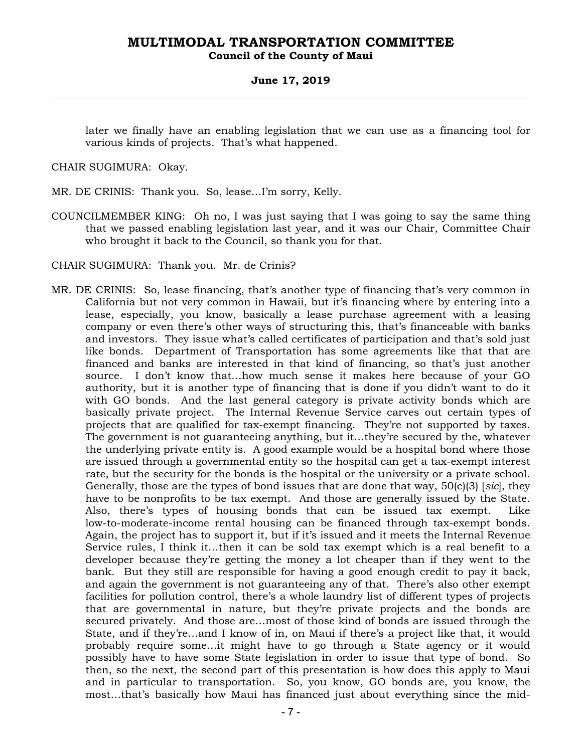#### **Council of the County of Maui**

#### **June 17, 2019**

later we finally have an enabling legislation that we can use as a financing tool for various kinds of projects. That's what happened.

CHAIR SUGIMURA: Okay.

MR. DE CRINIS: Thank you. So, lease…I'm sorry, Kelly.

- COUNCILMEMBER KING: Oh no, I was just saying that I was going to say the same thing that we passed enabling legislation last year, and it was our Chair, Committee Chair who brought it back to the Council, so thank you for that.
- CHAIR SUGIMURA: Thank you. Mr. de Crinis?
- MR. DE CRINIS: So, lease financing, that's another type of financing that's very common in California but not very common in Hawaii, but it's financing where by entering into a lease, especially, you know, basically a lease purchase agreement with a leasing company or even there's other ways of structuring this, that's financeable with banks and investors. They issue what's called certificates of participation and that's sold just like bonds. Department of Transportation has some agreements like that that are financed and banks are interested in that kind of financing, so that's just another source. I don't know that…how much sense it makes here because of your GO authority, but it is another type of financing that is done if you didn't want to do it with GO bonds. And the last general category is private activity bonds which are basically private project. The Internal Revenue Service carves out certain types of projects that are qualified for tax-exempt financing. They're not supported by taxes. The government is not guaranteeing anything, but it…they're secured by the, whatever the underlying private entity is. A good example would be a hospital bond where those are issued through a governmental entity so the hospital can get a tax-exempt interest rate, but the security for the bonds is the hospital or the university or a private school. Generally, those are the types of bond issues that are done that way, 50(c)(3) [*sic*], they have to be nonprofits to be tax exempt. And those are generally issued by the State. Also, there's types of housing bonds that can be issued tax exempt. Like low-to-moderate-income rental housing can be financed through tax-exempt bonds. Again, the project has to support it, but if it's issued and it meets the Internal Revenue Service rules, I think it…then it can be sold tax exempt which is a real benefit to a developer because they're getting the money a lot cheaper than if they went to the bank. But they still are responsible for having a good enough credit to pay it back, and again the government is not guaranteeing any of that. There's also other exempt facilities for pollution control, there's a whole laundry list of different types of projects that are governmental in nature, but they're private projects and the bonds are secured privately. And those are…most of those kind of bonds are issued through the State, and if they're…and I know of in, on Maui if there's a project like that, it would probably require some…it might have to go through a State agency or it would possibly have to have some State legislation in order to issue that type of bond. So then, so the next, the second part of this presentation is how does this apply to Maui and in particular to transportation. So, you know, GO bonds are, you know, the most…that's basically how Maui has financed just about everything since the mid-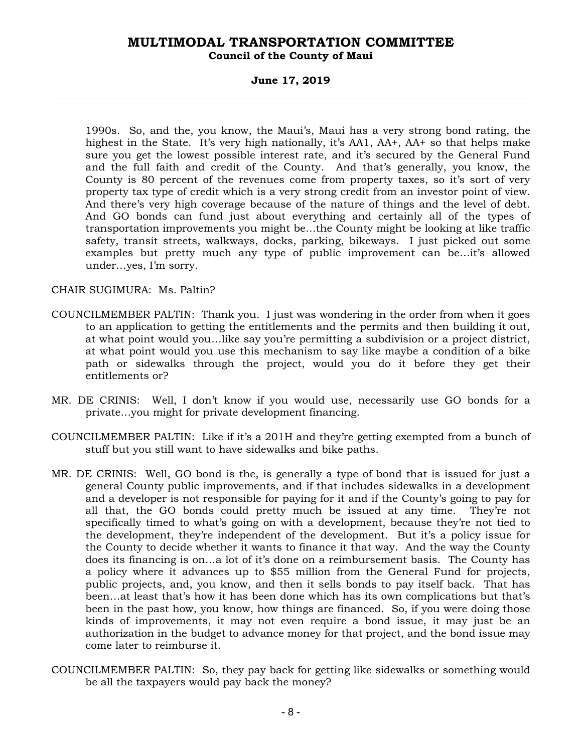#### **Council of the County of Maui**

#### **June 17, 2019**

1990s. So, and the, you know, the Maui's, Maui has a very strong bond rating, the highest in the State. It's very high nationally, it's AA1, AA+, AA+ so that helps make sure you get the lowest possible interest rate, and it's secured by the General Fund and the full faith and credit of the County. And that's generally, you know, the County is 80 percent of the revenues come from property taxes, so it's sort of very property tax type of credit which is a very strong credit from an investor point of view. And there's very high coverage because of the nature of things and the level of debt. And GO bonds can fund just about everything and certainly all of the types of transportation improvements you might be…the County might be looking at like traffic safety, transit streets, walkways, docks, parking, bikeways. I just picked out some examples but pretty much any type of public improvement can be…it's allowed under…yes, I'm sorry.

CHAIR SUGIMURA: Ms. Paltin?

- COUNCILMEMBER PALTIN: Thank you. I just was wondering in the order from when it goes to an application to getting the entitlements and the permits and then building it out, at what point would you…like say you're permitting a subdivision or a project district, at what point would you use this mechanism to say like maybe a condition of a bike path or sidewalks through the project, would you do it before they get their entitlements or?
- MR. DE CRINIS: Well, I don't know if you would use, necessarily use GO bonds for a private…you might for private development financing.
- COUNCILMEMBER PALTIN: Like if it's a 201H and they're getting exempted from a bunch of stuff but you still want to have sidewalks and bike paths.
- MR. DE CRINIS: Well, GO bond is the, is generally a type of bond that is issued for just a general County public improvements, and if that includes sidewalks in a development and a developer is not responsible for paying for it and if the County's going to pay for all that, the GO bonds could pretty much be issued at any time. They're not specifically timed to what's going on with a development, because they're not tied to the development, they're independent of the development. But it's a policy issue for the County to decide whether it wants to finance it that way. And the way the County does its financing is on…a lot of it's done on a reimbursement basis. The County has a policy where it advances up to \$55 million from the General Fund for projects, public projects, and, you know, and then it sells bonds to pay itself back. That has been…at least that's how it has been done which has its own complications but that's been in the past how, you know, how things are financed. So, if you were doing those kinds of improvements, it may not even require a bond issue, it may just be an authorization in the budget to advance money for that project, and the bond issue may come later to reimburse it.
- COUNCILMEMBER PALTIN: So, they pay back for getting like sidewalks or something would be all the taxpayers would pay back the money?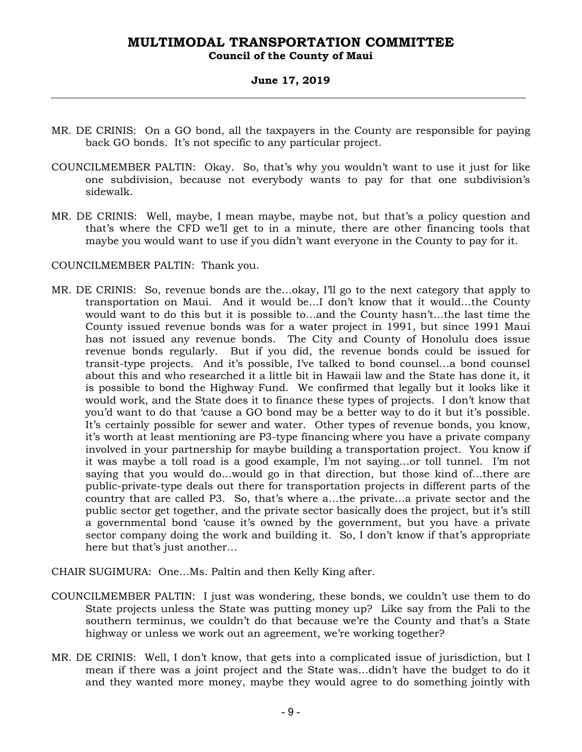#### **Council of the County of Maui**

#### **June 17, 2019**

- MR. DE CRINIS: On a GO bond, all the taxpayers in the County are responsible for paying back GO bonds. It's not specific to any particular project.
- COUNCILMEMBER PALTIN: Okay. So, that's why you wouldn't want to use it just for like one subdivision, because not everybody wants to pay for that one subdivision's sidewalk.
- MR. DE CRINIS: Well, maybe, I mean maybe, maybe not, but that's a policy question and that's where the CFD we'll get to in a minute, there are other financing tools that maybe you would want to use if you didn't want everyone in the County to pay for it.

COUNCILMEMBER PALTIN: Thank you.

- MR. DE CRINIS: So, revenue bonds are the…okay, I'll go to the next category that apply to transportation on Maui. And it would be…I don't know that it would…the County would want to do this but it is possible to…and the County hasn't…the last time the County issued revenue bonds was for a water project in 1991, but since 1991 Maui has not issued any revenue bonds. The City and County of Honolulu does issue revenue bonds regularly. But if you did, the revenue bonds could be issued for transit-type projects. And it's possible, I've talked to bond counsel…a bond counsel about this and who researched it a little bit in Hawaii law and the State has done it, it is possible to bond the Highway Fund. We confirmed that legally but it looks like it would work, and the State does it to finance these types of projects. I don't know that you'd want to do that 'cause a GO bond may be a better way to do it but it's possible. It's certainly possible for sewer and water. Other types of revenue bonds, you know, it's worth at least mentioning are P3-type financing where you have a private company involved in your partnership for maybe building a transportation project. You know if it was maybe a toll road is a good example, I'm not saying…or toll tunnel. I'm not saying that you would do…would go in that direction, but those kind of…there are public-private-type deals out there for transportation projects in different parts of the country that are called P3. So, that's where a…the private…a private sector and the public sector get together, and the private sector basically does the project, but it's still a governmental bond 'cause it's owned by the government, but you have a private sector company doing the work and building it. So, I don't know if that's appropriate here but that's just another…
- CHAIR SUGIMURA: One…Ms. Paltin and then Kelly King after.
- COUNCILMEMBER PALTIN: I just was wondering, these bonds, we couldn't use them to do State projects unless the State was putting money up? Like say from the Pali to the southern terminus, we couldn't do that because we're the County and that's a State highway or unless we work out an agreement, we're working together?
- MR. DE CRINIS: Well, I don't know, that gets into a complicated issue of jurisdiction, but I mean if there was a joint project and the State was…didn't have the budget to do it and they wanted more money, maybe they would agree to do something jointly with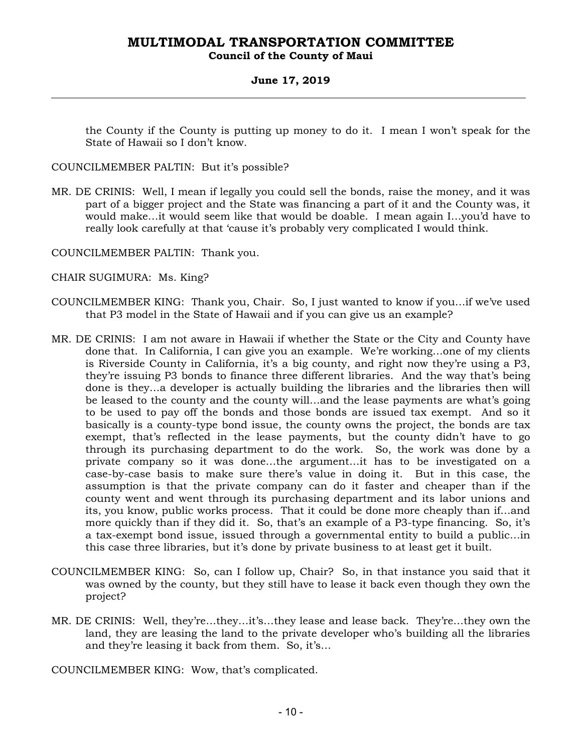#### **Council of the County of Maui**

#### **June 17, 2019**

the County if the County is putting up money to do it. I mean I won't speak for the State of Hawaii so I don't know.

COUNCILMEMBER PALTIN: But it's possible?

MR. DE CRINIS: Well, I mean if legally you could sell the bonds, raise the money, and it was part of a bigger project and the State was financing a part of it and the County was, it would make…it would seem like that would be doable. I mean again I…you'd have to really look carefully at that 'cause it's probably very complicated I would think.

COUNCILMEMBER PALTIN: Thank you.

- CHAIR SUGIMURA: Ms. King?
- COUNCILMEMBER KING: Thank you, Chair. So, I just wanted to know if you…if we've used that P3 model in the State of Hawaii and if you can give us an example?
- MR. DE CRINIS: I am not aware in Hawaii if whether the State or the City and County have done that. In California, I can give you an example. We're working…one of my clients is Riverside County in California, it's a big county, and right now they're using a P3, they're issuing P3 bonds to finance three different libraries. And the way that's being done is they…a developer is actually building the libraries and the libraries then will be leased to the county and the county will…and the lease payments are what's going to be used to pay off the bonds and those bonds are issued tax exempt. And so it basically is a county-type bond issue, the county owns the project, the bonds are tax exempt, that's reflected in the lease payments, but the county didn't have to go through its purchasing department to do the work. So, the work was done by a private company so it was done…the argument…it has to be investigated on a case-by-case basis to make sure there's value in doing it. But in this case, the assumption is that the private company can do it faster and cheaper than if the county went and went through its purchasing department and its labor unions and its, you know, public works process. That it could be done more cheaply than if…and more quickly than if they did it. So, that's an example of a P3-type financing. So, it's a tax-exempt bond issue, issued through a governmental entity to build a public…in this case three libraries, but it's done by private business to at least get it built.
- COUNCILMEMBER KING: So, can I follow up, Chair? So, in that instance you said that it was owned by the county, but they still have to lease it back even though they own the project?
- MR. DE CRINIS: Well, they're…they…it's…they lease and lease back. They're…they own the land, they are leasing the land to the private developer who's building all the libraries and they're leasing it back from them. So, it's…

COUNCILMEMBER KING: Wow, that's complicated.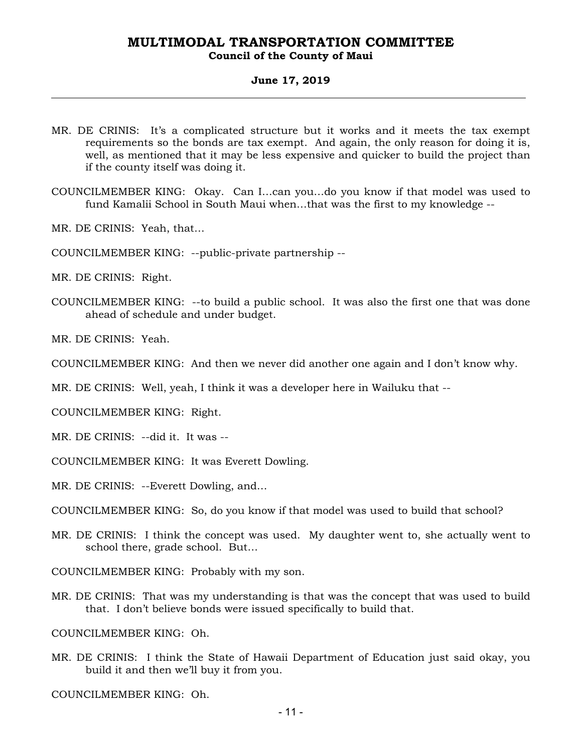### **Council of the County of Maui**

#### **June 17, 2019**

- MR. DE CRINIS: It's a complicated structure but it works and it meets the tax exempt requirements so the bonds are tax exempt. And again, the only reason for doing it is, well, as mentioned that it may be less expensive and quicker to build the project than if the county itself was doing it.
- COUNCILMEMBER KING: Okay. Can I…can you…do you know if that model was used to fund Kamalii School in South Maui when…that was the first to my knowledge --
- MR. DE CRINIS: Yeah, that…
- COUNCILMEMBER KING: --public-private partnership --
- MR. DE CRINIS: Right.
- COUNCILMEMBER KING: --to build a public school. It was also the first one that was done ahead of schedule and under budget.
- MR. DE CRINIS: Yeah.
- COUNCILMEMBER KING: And then we never did another one again and I don't know why.
- MR. DE CRINIS: Well, yeah, I think it was a developer here in Wailuku that --
- COUNCILMEMBER KING: Right.
- MR. DE CRINIS: --did it. It was --
- COUNCILMEMBER KING: It was Everett Dowling.
- MR. DE CRINIS: --Everett Dowling, and…
- COUNCILMEMBER KING: So, do you know if that model was used to build that school?
- MR. DE CRINIS: I think the concept was used. My daughter went to, she actually went to school there, grade school. But…
- COUNCILMEMBER KING: Probably with my son.
- MR. DE CRINIS: That was my understanding is that was the concept that was used to build that. I don't believe bonds were issued specifically to build that.
- COUNCILMEMBER KING: Oh.
- MR. DE CRINIS: I think the State of Hawaii Department of Education just said okay, you build it and then we'll buy it from you.

COUNCILMEMBER KING: Oh.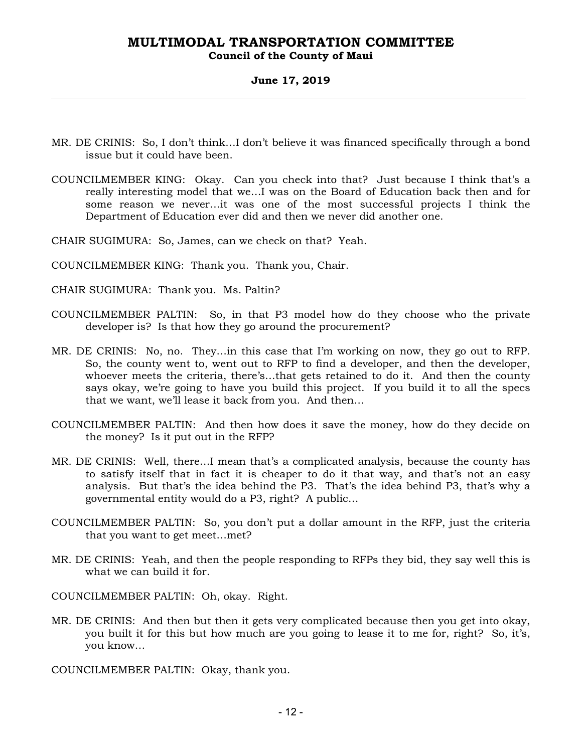#### **Council of the County of Maui**

#### **June 17, 2019**

- MR. DE CRINIS: So, I don't think…I don't believe it was financed specifically through a bond issue but it could have been.
- COUNCILMEMBER KING: Okay. Can you check into that? Just because I think that's a really interesting model that we…I was on the Board of Education back then and for some reason we never…it was one of the most successful projects I think the Department of Education ever did and then we never did another one.
- CHAIR SUGIMURA: So, James, can we check on that? Yeah.
- COUNCILMEMBER KING: Thank you. Thank you, Chair.
- CHAIR SUGIMURA: Thank you. Ms. Paltin?
- COUNCILMEMBER PALTIN: So, in that P3 model how do they choose who the private developer is? Is that how they go around the procurement?
- MR. DE CRINIS: No, no. They…in this case that I'm working on now, they go out to RFP. So, the county went to, went out to RFP to find a developer, and then the developer, whoever meets the criteria, there's…that gets retained to do it. And then the county says okay, we're going to have you build this project. If you build it to all the specs that we want, we'll lease it back from you. And then…
- COUNCILMEMBER PALTIN: And then how does it save the money, how do they decide on the money? Is it put out in the RFP?
- MR. DE CRINIS: Well, there…I mean that's a complicated analysis, because the county has to satisfy itself that in fact it is cheaper to do it that way, and that's not an easy analysis. But that's the idea behind the P3. That's the idea behind P3, that's why a governmental entity would do a P3, right? A public…
- COUNCILMEMBER PALTIN: So, you don't put a dollar amount in the RFP, just the criteria that you want to get meet…met?
- MR. DE CRINIS: Yeah, and then the people responding to RFPs they bid, they say well this is what we can build it for.
- COUNCILMEMBER PALTIN: Oh, okay. Right.
- MR. DE CRINIS: And then but then it gets very complicated because then you get into okay, you built it for this but how much are you going to lease it to me for, right? So, it's, you know…
- COUNCILMEMBER PALTIN: Okay, thank you.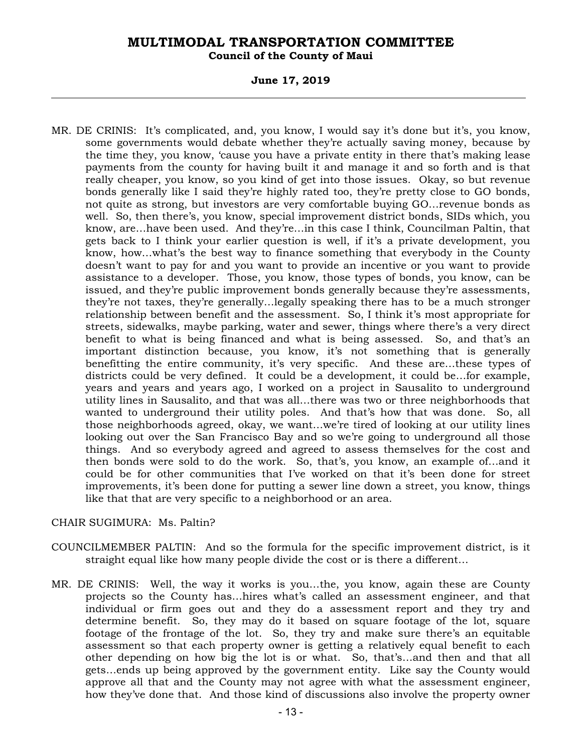**Council of the County of Maui** 

#### **June 17, 2019**

MR. DE CRINIS: It's complicated, and, you know, I would say it's done but it's, you know, some governments would debate whether they're actually saving money, because by the time they, you know, 'cause you have a private entity in there that's making lease payments from the county for having built it and manage it and so forth and is that really cheaper, you know, so you kind of get into those issues. Okay, so but revenue bonds generally like I said they're highly rated too, they're pretty close to GO bonds, not quite as strong, but investors are very comfortable buying GO…revenue bonds as well. So, then there's, you know, special improvement district bonds, SIDs which, you know, are…have been used. And they're…in this case I think, Councilman Paltin, that gets back to I think your earlier question is well, if it's a private development, you know, how…what's the best way to finance something that everybody in the County doesn't want to pay for and you want to provide an incentive or you want to provide assistance to a developer. Those, you know, those types of bonds, you know, can be issued, and they're public improvement bonds generally because they're assessments, they're not taxes, they're generally…legally speaking there has to be a much stronger relationship between benefit and the assessment. So, I think it's most appropriate for streets, sidewalks, maybe parking, water and sewer, things where there's a very direct benefit to what is being financed and what is being assessed. So, and that's an important distinction because, you know, it's not something that is generally benefitting the entire community, it's very specific. And these are…these types of districts could be very defined. It could be a development, it could be…for example, years and years and years ago, I worked on a project in Sausalito to underground utility lines in Sausalito, and that was all…there was two or three neighborhoods that wanted to underground their utility poles. And that's how that was done. So, all those neighborhoods agreed, okay, we want…we're tired of looking at our utility lines looking out over the San Francisco Bay and so we're going to underground all those things. And so everybody agreed and agreed to assess themselves for the cost and then bonds were sold to do the work. So, that's, you know, an example of…and it could be for other communities that I've worked on that it's been done for street improvements, it's been done for putting a sewer line down a street, you know, things like that that are very specific to a neighborhood or an area.

#### CHAIR SUGIMURA: Ms. Paltin?

- COUNCILMEMBER PALTIN: And so the formula for the specific improvement district, is it straight equal like how many people divide the cost or is there a different…
- MR. DE CRINIS: Well, the way it works is you…the, you know, again these are County projects so the County has…hires what's called an assessment engineer, and that individual or firm goes out and they do a assessment report and they try and determine benefit. So, they may do it based on square footage of the lot, square footage of the frontage of the lot. So, they try and make sure there's an equitable assessment so that each property owner is getting a relatively equal benefit to each other depending on how big the lot is or what. So, that's…and then and that all gets…ends up being approved by the government entity. Like say the County would approve all that and the County may not agree with what the assessment engineer, how they've done that. And those kind of discussions also involve the property owner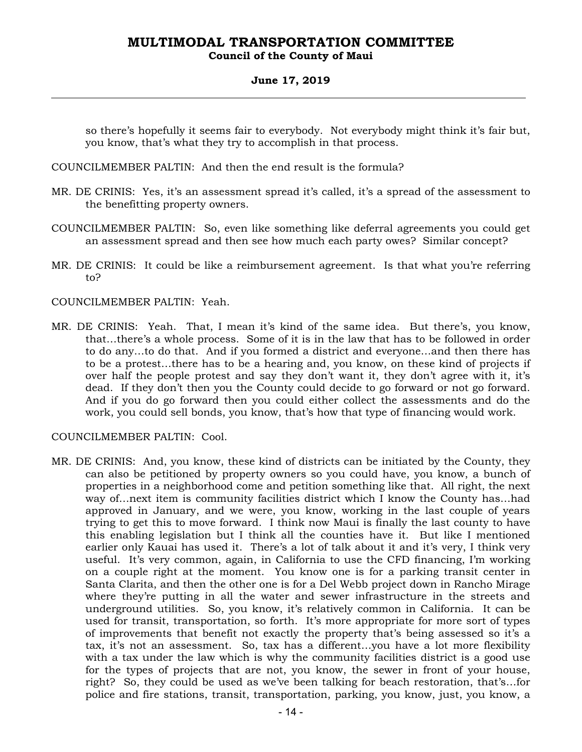#### **Council of the County of Maui**

#### **June 17, 2019**

so there's hopefully it seems fair to everybody. Not everybody might think it's fair but, you know, that's what they try to accomplish in that process.

COUNCILMEMBER PALTIN: And then the end result is the formula?

- MR. DE CRINIS: Yes, it's an assessment spread it's called, it's a spread of the assessment to the benefitting property owners.
- COUNCILMEMBER PALTIN: So, even like something like deferral agreements you could get an assessment spread and then see how much each party owes? Similar concept?
- MR. DE CRINIS: It could be like a reimbursement agreement. Is that what you're referring to?
- COUNCILMEMBER PALTIN: Yeah.
- MR. DE CRINIS: Yeah. That, I mean it's kind of the same idea. But there's, you know, that…there's a whole process. Some of it is in the law that has to be followed in order to do any…to do that. And if you formed a district and everyone…and then there has to be a protest…there has to be a hearing and, you know, on these kind of projects if over half the people protest and say they don't want it, they don't agree with it, it's dead. If they don't then you the County could decide to go forward or not go forward. And if you do go forward then you could either collect the assessments and do the work, you could sell bonds, you know, that's how that type of financing would work.

#### COUNCILMEMBER PALTIN: Cool.

MR. DE CRINIS: And, you know, these kind of districts can be initiated by the County, they can also be petitioned by property owners so you could have, you know, a bunch of properties in a neighborhood come and petition something like that. All right, the next way of…next item is community facilities district which I know the County has…had approved in January, and we were, you know, working in the last couple of years trying to get this to move forward. I think now Maui is finally the last county to have this enabling legislation but I think all the counties have it. But like I mentioned earlier only Kauai has used it. There's a lot of talk about it and it's very, I think very useful. It's very common, again, in California to use the CFD financing, I'm working on a couple right at the moment. You know one is for a parking transit center in Santa Clarita, and then the other one is for a Del Webb project down in Rancho Mirage where they're putting in all the water and sewer infrastructure in the streets and underground utilities. So, you know, it's relatively common in California. It can be used for transit, transportation, so forth. It's more appropriate for more sort of types of improvements that benefit not exactly the property that's being assessed so it's a tax, it's not an assessment. So, tax has a different…you have a lot more flexibility with a tax under the law which is why the community facilities district is a good use for the types of projects that are not, you know, the sewer in front of your house, right? So, they could be used as we've been talking for beach restoration, that's…for police and fire stations, transit, transportation, parking, you know, just, you know, a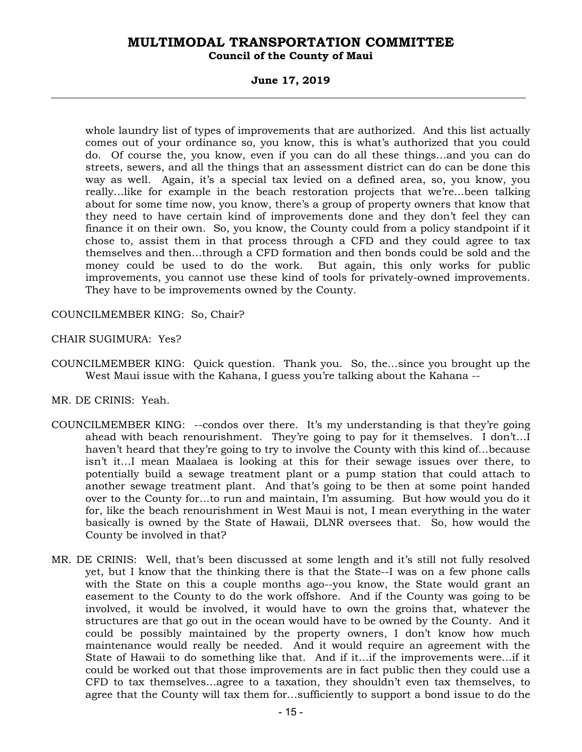#### **Council of the County of Maui**

#### **June 17, 2019**

whole laundry list of types of improvements that are authorized. And this list actually comes out of your ordinance so, you know, this is what's authorized that you could do. Of course the, you know, even if you can do all these things…and you can do streets, sewers, and all the things that an assessment district can do can be done this way as well. Again, it's a special tax levied on a defined area, so, you know, you really…like for example in the beach restoration projects that we're…been talking about for some time now, you know, there's a group of property owners that know that they need to have certain kind of improvements done and they don't feel they can finance it on their own. So, you know, the County could from a policy standpoint if it chose to, assist them in that process through a CFD and they could agree to tax themselves and then…through a CFD formation and then bonds could be sold and the money could be used to do the work. But again, this only works for public improvements, you cannot use these kind of tools for privately-owned improvements. They have to be improvements owned by the County.

COUNCILMEMBER KING: So, Chair?

- CHAIR SUGIMURA: Yes?
- COUNCILMEMBER KING: Quick question. Thank you. So, the…since you brought up the West Maui issue with the Kahana, I guess you're talking about the Kahana --

MR. DE CRINIS: Yeah.

- COUNCILMEMBER KING: --condos over there. It's my understanding is that they're going ahead with beach renourishment. They're going to pay for it themselves. I don't…I haven't heard that they're going to try to involve the County with this kind of…because isn't it…I mean Maalaea is looking at this for their sewage issues over there, to potentially build a sewage treatment plant or a pump station that could attach to another sewage treatment plant. And that's going to be then at some point handed over to the County for…to run and maintain, I'm assuming. But how would you do it for, like the beach renourishment in West Maui is not, I mean everything in the water basically is owned by the State of Hawaii, DLNR oversees that. So, how would the County be involved in that?
- MR. DE CRINIS: Well, that's been discussed at some length and it's still not fully resolved yet, but I know that the thinking there is that the State--I was on a few phone calls with the State on this a couple months ago--you know, the State would grant an easement to the County to do the work offshore. And if the County was going to be involved, it would be involved, it would have to own the groins that, whatever the structures are that go out in the ocean would have to be owned by the County. And it could be possibly maintained by the property owners, I don't know how much maintenance would really be needed. And it would require an agreement with the State of Hawaii to do something like that. And if it…if the improvements were…if it could be worked out that those improvements are in fact public then they could use a CFD to tax themselves…agree to a taxation, they shouldn't even tax themselves, to agree that the County will tax them for…sufficiently to support a bond issue to do the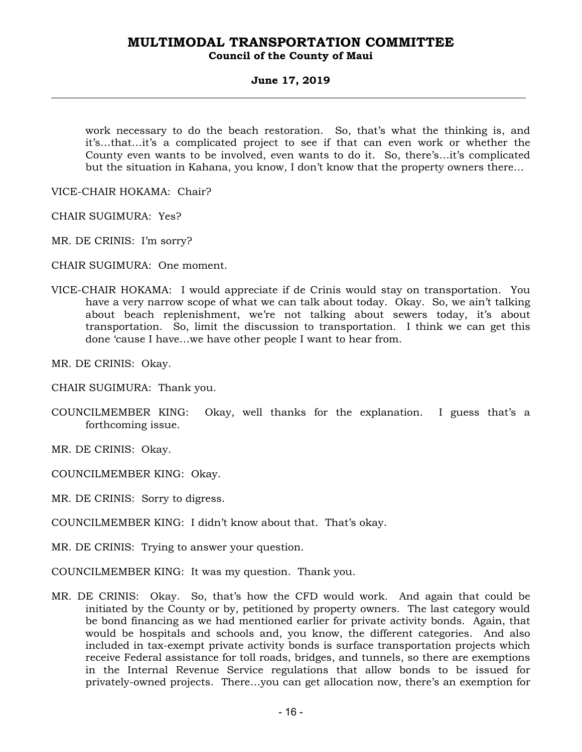#### **MULTIMODAL TRANSPORTATION COMMITTEE Council of the County of Maui**

#### **June 17, 2019**

work necessary to do the beach restoration. So, that's what the thinking is, and it's…that…it's a complicated project to see if that can even work or whether the County even wants to be involved, even wants to do it. So, there's…it's complicated but the situation in Kahana, you know, I don't know that the property owners there…

VICE-CHAIR HOKAMA: Chair?

CHAIR SUGIMURA: Yes?

MR. DE CRINIS: I'm sorry?

CHAIR SUGIMURA: One moment.

VICE-CHAIR HOKAMA: I would appreciate if de Crinis would stay on transportation. You have a very narrow scope of what we can talk about today. Okay. So, we ain't talking about beach replenishment, we're not talking about sewers today, it's about transportation. So, limit the discussion to transportation. I think we can get this done 'cause I have…we have other people I want to hear from.

MR. DE CRINIS: Okay.

CHAIR SUGIMURA: Thank you.

COUNCILMEMBER KING: Okay, well thanks for the explanation. I guess that's a forthcoming issue.

MR. DE CRINIS: Okay.

COUNCILMEMBER KING: Okay.

MR. DE CRINIS: Sorry to digress.

COUNCILMEMBER KING: I didn't know about that. That's okay.

MR. DE CRINIS: Trying to answer your question.

COUNCILMEMBER KING: It was my question. Thank you.

MR. DE CRINIS: Okay. So, that's how the CFD would work. And again that could be initiated by the County or by, petitioned by property owners. The last category would be bond financing as we had mentioned earlier for private activity bonds. Again, that would be hospitals and schools and, you know, the different categories. And also included in tax-exempt private activity bonds is surface transportation projects which receive Federal assistance for toll roads, bridges, and tunnels, so there are exemptions in the Internal Revenue Service regulations that allow bonds to be issued for privately-owned projects. There…you can get allocation now, there's an exemption for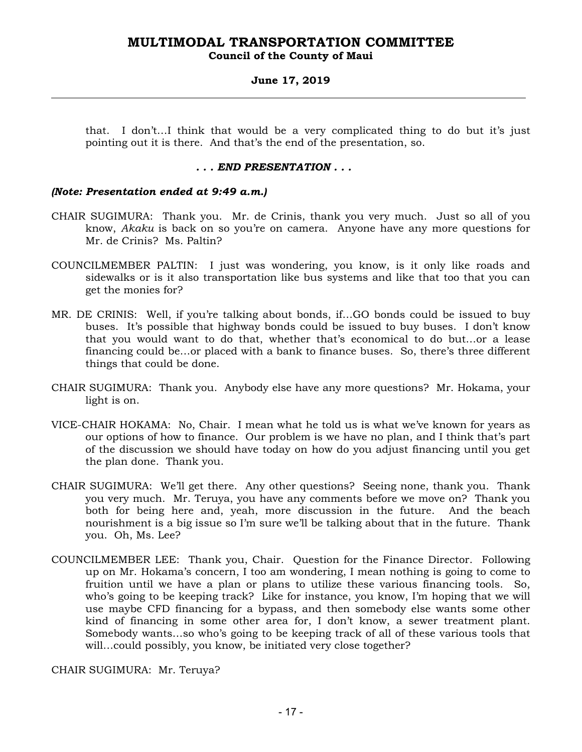#### **Council of the County of Maui**

#### **June 17, 2019**

that. I don't…I think that would be a very complicated thing to do but it's just pointing out it is there. And that's the end of the presentation, so.

#### *. . . END PRESENTATION . . .*

#### *(Note: Presentation ended at 9:49 a.m.)*

- CHAIR SUGIMURA: Thank you. Mr. de Crinis, thank you very much. Just so all of you know, *Akaku* is back on so you're on camera. Anyone have any more questions for Mr. de Crinis? Ms. Paltin?
- COUNCILMEMBER PALTIN: I just was wondering, you know, is it only like roads and sidewalks or is it also transportation like bus systems and like that too that you can get the monies for?
- MR. DE CRINIS: Well, if you're talking about bonds, if…GO bonds could be issued to buy buses. It's possible that highway bonds could be issued to buy buses. I don't know that you would want to do that, whether that's economical to do but…or a lease financing could be…or placed with a bank to finance buses. So, there's three different things that could be done.
- CHAIR SUGIMURA: Thank you. Anybody else have any more questions? Mr. Hokama, your light is on.
- VICE-CHAIR HOKAMA: No, Chair. I mean what he told us is what we've known for years as our options of how to finance. Our problem is we have no plan, and I think that's part of the discussion we should have today on how do you adjust financing until you get the plan done. Thank you.
- CHAIR SUGIMURA: We'll get there. Any other questions? Seeing none, thank you. Thank you very much. Mr. Teruya, you have any comments before we move on? Thank you both for being here and, yeah, more discussion in the future. And the beach nourishment is a big issue so I'm sure we'll be talking about that in the future. Thank you. Oh, Ms. Lee?
- COUNCILMEMBER LEE: Thank you, Chair. Question for the Finance Director. Following up on Mr. Hokama's concern, I too am wondering, I mean nothing is going to come to fruition until we have a plan or plans to utilize these various financing tools. So, who's going to be keeping track? Like for instance, you know, I'm hoping that we will use maybe CFD financing for a bypass, and then somebody else wants some other kind of financing in some other area for, I don't know, a sewer treatment plant. Somebody wants…so who's going to be keeping track of all of these various tools that will…could possibly, you know, be initiated very close together?

CHAIR SUGIMURA: Mr. Teruya?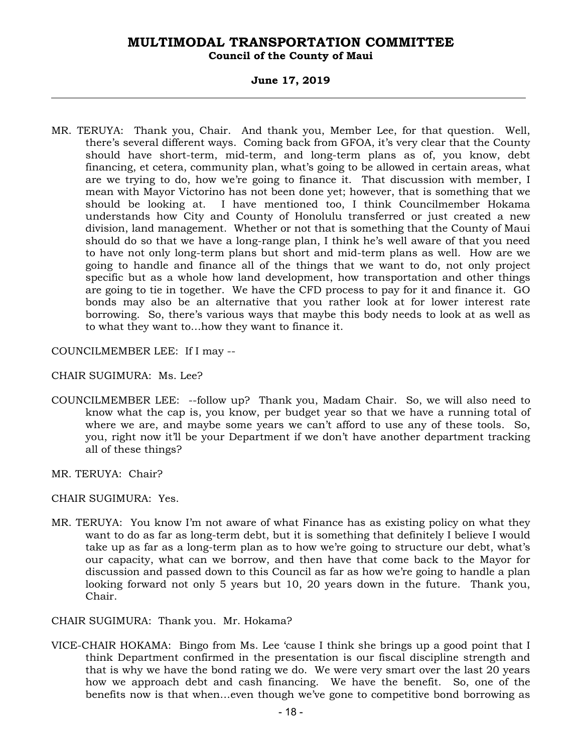**Council of the County of Maui** 

#### **June 17, 2019**

MR. TERUYA: Thank you, Chair. And thank you, Member Lee, for that question. Well, there's several different ways. Coming back from GFOA, it's very clear that the County should have short-term, mid-term, and long-term plans as of, you know, debt financing, et cetera, community plan, what's going to be allowed in certain areas, what are we trying to do, how we're going to finance it. That discussion with member, I mean with Mayor Victorino has not been done yet; however, that is something that we should be looking at. I have mentioned too, I think Councilmember Hokama understands how City and County of Honolulu transferred or just created a new division, land management. Whether or not that is something that the County of Maui should do so that we have a long-range plan, I think he's well aware of that you need to have not only long-term plans but short and mid-term plans as well. How are we going to handle and finance all of the things that we want to do, not only project specific but as a whole how land development, how transportation and other things are going to tie in together. We have the CFD process to pay for it and finance it. GO bonds may also be an alternative that you rather look at for lower interest rate borrowing. So, there's various ways that maybe this body needs to look at as well as to what they want to…how they want to finance it.

COUNCILMEMBER LEE: If I may --

CHAIR SUGIMURA: Ms. Lee?

COUNCILMEMBER LEE: --follow up? Thank you, Madam Chair. So, we will also need to know what the cap is, you know, per budget year so that we have a running total of where we are, and maybe some years we can't afford to use any of these tools. So, you, right now it'll be your Department if we don't have another department tracking all of these things?

MR. TERUYA: Chair?

CHAIR SUGIMURA: Yes.

- MR. TERUYA: You know I'm not aware of what Finance has as existing policy on what they want to do as far as long-term debt, but it is something that definitely I believe I would take up as far as a long-term plan as to how we're going to structure our debt, what's our capacity, what can we borrow, and then have that come back to the Mayor for discussion and passed down to this Council as far as how we're going to handle a plan looking forward not only 5 years but 10, 20 years down in the future. Thank you, Chair.
- CHAIR SUGIMURA: Thank you. Mr. Hokama?
- VICE-CHAIR HOKAMA: Bingo from Ms. Lee 'cause I think she brings up a good point that I think Department confirmed in the presentation is our fiscal discipline strength and that is why we have the bond rating we do. We were very smart over the last 20 years how we approach debt and cash financing. We have the benefit. So, one of the benefits now is that when…even though we've gone to competitive bond borrowing as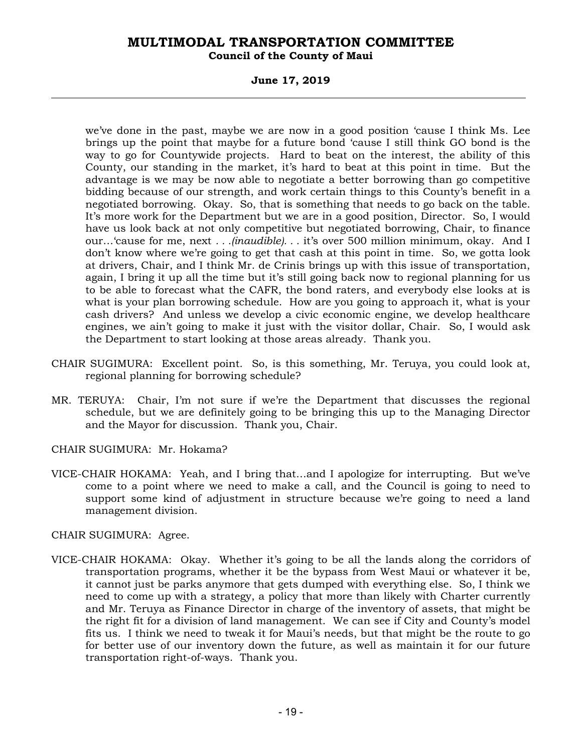#### **Council of the County of Maui**

#### **June 17, 2019**

we've done in the past, maybe we are now in a good position 'cause I think Ms. Lee brings up the point that maybe for a future bond 'cause I still think GO bond is the way to go for Countywide projects. Hard to beat on the interest, the ability of this County, our standing in the market, it's hard to beat at this point in time. But the advantage is we may be now able to negotiate a better borrowing than go competitive bidding because of our strength, and work certain things to this County's benefit in a negotiated borrowing. Okay. So, that is something that needs to go back on the table. It's more work for the Department but we are in a good position, Director. So, I would have us look back at not only competitive but negotiated borrowing, Chair, to finance our…'cause for me, next *. . .(inaudible). . .* it's over 500 million minimum, okay. And I don't know where we're going to get that cash at this point in time. So, we gotta look at drivers, Chair, and I think Mr. de Crinis brings up with this issue of transportation, again, I bring it up all the time but it's still going back now to regional planning for us to be able to forecast what the CAFR, the bond raters, and everybody else looks at is what is your plan borrowing schedule. How are you going to approach it, what is your cash drivers? And unless we develop a civic economic engine, we develop healthcare engines, we ain't going to make it just with the visitor dollar, Chair. So, I would ask the Department to start looking at those areas already. Thank you.

- CHAIR SUGIMURA: Excellent point. So, is this something, Mr. Teruya, you could look at, regional planning for borrowing schedule?
- MR. TERUYA: Chair, I'm not sure if we're the Department that discusses the regional schedule, but we are definitely going to be bringing this up to the Managing Director and the Mayor for discussion. Thank you, Chair.
- CHAIR SUGIMURA: Mr. Hokama?
- VICE-CHAIR HOKAMA: Yeah, and I bring that…and I apologize for interrupting. But we've come to a point where we need to make a call, and the Council is going to need to support some kind of adjustment in structure because we're going to need a land management division.

CHAIR SUGIMURA: Agree.

VICE-CHAIR HOKAMA: Okay. Whether it's going to be all the lands along the corridors of transportation programs, whether it be the bypass from West Maui or whatever it be, it cannot just be parks anymore that gets dumped with everything else. So, I think we need to come up with a strategy, a policy that more than likely with Charter currently and Mr. Teruya as Finance Director in charge of the inventory of assets, that might be the right fit for a division of land management. We can see if City and County's model fits us. I think we need to tweak it for Maui's needs, but that might be the route to go for better use of our inventory down the future, as well as maintain it for our future transportation right-of-ways. Thank you.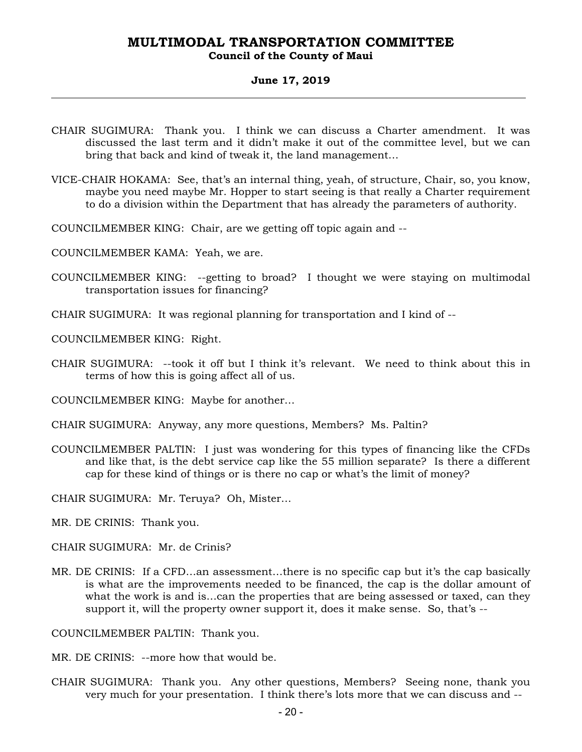#### **Council of the County of Maui**

#### **June 17, 2019**

- CHAIR SUGIMURA: Thank you. I think we can discuss a Charter amendment. It was discussed the last term and it didn't make it out of the committee level, but we can bring that back and kind of tweak it, the land management…
- VICE-CHAIR HOKAMA: See, that's an internal thing, yeah, of structure, Chair, so, you know, maybe you need maybe Mr. Hopper to start seeing is that really a Charter requirement to do a division within the Department that has already the parameters of authority.
- COUNCILMEMBER KING: Chair, are we getting off topic again and --
- COUNCILMEMBER KAMA: Yeah, we are.
- COUNCILMEMBER KING: --getting to broad? I thought we were staying on multimodal transportation issues for financing?
- CHAIR SUGIMURA: It was regional planning for transportation and I kind of --
- COUNCILMEMBER KING: Right.
- CHAIR SUGIMURA: --took it off but I think it's relevant. We need to think about this in terms of how this is going affect all of us.

COUNCILMEMBER KING: Maybe for another…

- CHAIR SUGIMURA: Anyway, any more questions, Members? Ms. Paltin?
- COUNCILMEMBER PALTIN: I just was wondering for this types of financing like the CFDs and like that, is the debt service cap like the 55 million separate? Is there a different cap for these kind of things or is there no cap or what's the limit of money?

CHAIR SUGIMURA: Mr. Teruya? Oh, Mister…

- MR. DE CRINIS: Thank you.
- CHAIR SUGIMURA: Mr. de Crinis?
- MR. DE CRINIS: If a CFD…an assessment…there is no specific cap but it's the cap basically is what are the improvements needed to be financed, the cap is the dollar amount of what the work is and is…can the properties that are being assessed or taxed, can they support it, will the property owner support it, does it make sense. So, that's --

COUNCILMEMBER PALTIN: Thank you.

- MR. DE CRINIS: --more how that would be.
- CHAIR SUGIMURA: Thank you. Any other questions, Members? Seeing none, thank you very much for your presentation. I think there's lots more that we can discuss and --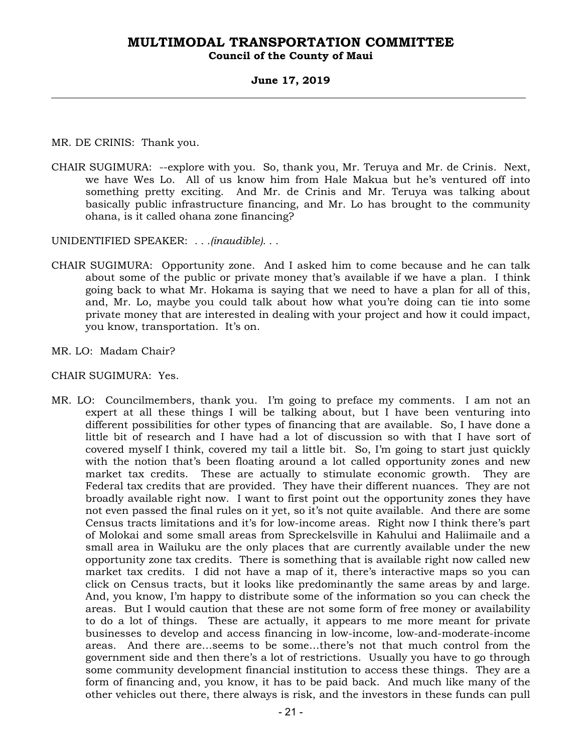#### **Council of the County of Maui**

#### **June 17, 2019**

MR. DE CRINIS: Thank you.

CHAIR SUGIMURA: --explore with you. So, thank you, Mr. Teruya and Mr. de Crinis. Next, we have Wes Lo. All of us know him from Hale Makua but he's ventured off into something pretty exciting. And Mr. de Crinis and Mr. Teruya was talking about basically public infrastructure financing, and Mr. Lo has brought to the community ohana, is it called ohana zone financing?

UNIDENTIFIED SPEAKER: *. . .(inaudible). . .*

- CHAIR SUGIMURA: Opportunity zone. And I asked him to come because and he can talk about some of the public or private money that's available if we have a plan. I think going back to what Mr. Hokama is saying that we need to have a plan for all of this, and, Mr. Lo, maybe you could talk about how what you're doing can tie into some private money that are interested in dealing with your project and how it could impact, you know, transportation. It's on.
- MR. LO: Madam Chair?

#### CHAIR SUGIMURA: Yes.

MR. LO: Councilmembers, thank you. I'm going to preface my comments. I am not an expert at all these things I will be talking about, but I have been venturing into different possibilities for other types of financing that are available. So, I have done a little bit of research and I have had a lot of discussion so with that I have sort of covered myself I think, covered my tail a little bit. So, I'm going to start just quickly with the notion that's been floating around a lot called opportunity zones and new market tax credits. These are actually to stimulate economic growth. They are Federal tax credits that are provided. They have their different nuances. They are not broadly available right now. I want to first point out the opportunity zones they have not even passed the final rules on it yet, so it's not quite available. And there are some Census tracts limitations and it's for low-income areas. Right now I think there's part of Molokai and some small areas from Spreckelsville in Kahului and Haliimaile and a small area in Wailuku are the only places that are currently available under the new opportunity zone tax credits. There is something that is available right now called new market tax credits. I did not have a map of it, there's interactive maps so you can click on Census tracts, but it looks like predominantly the same areas by and large. And, you know, I'm happy to distribute some of the information so you can check the areas. But I would caution that these are not some form of free money or availability to do a lot of things. These are actually, it appears to me more meant for private businesses to develop and access financing in low-income, low-and-moderate-income areas. And there are…seems to be some…there's not that much control from the government side and then there's a lot of restrictions. Usually you have to go through some community development financial institution to access these things. They are a form of financing and, you know, it has to be paid back. And much like many of the other vehicles out there, there always is risk, and the investors in these funds can pull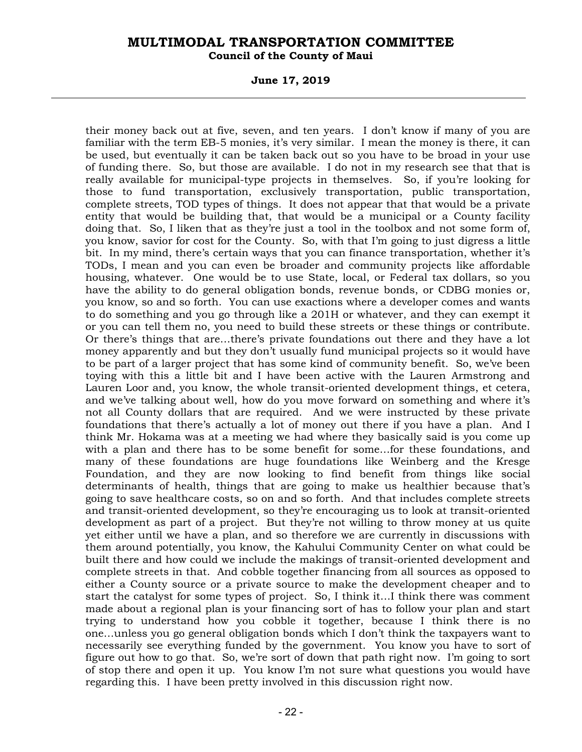**Council of the County of Maui** 

**June 17, 2019** 

their money back out at five, seven, and ten years. I don't know if many of you are familiar with the term EB-5 monies, it's very similar. I mean the money is there, it can be used, but eventually it can be taken back out so you have to be broad in your use of funding there. So, but those are available. I do not in my research see that that is really available for municipal-type projects in themselves. So, if you're looking for those to fund transportation, exclusively transportation, public transportation, complete streets, TOD types of things. It does not appear that that would be a private entity that would be building that, that would be a municipal or a County facility doing that. So, I liken that as they're just a tool in the toolbox and not some form of, you know, savior for cost for the County. So, with that I'm going to just digress a little bit. In my mind, there's certain ways that you can finance transportation, whether it's TODs, I mean and you can even be broader and community projects like affordable housing, whatever. One would be to use State, local, or Federal tax dollars, so you have the ability to do general obligation bonds, revenue bonds, or CDBG monies or, you know, so and so forth. You can use exactions where a developer comes and wants to do something and you go through like a 201H or whatever, and they can exempt it or you can tell them no, you need to build these streets or these things or contribute. Or there's things that are…there's private foundations out there and they have a lot money apparently and but they don't usually fund municipal projects so it would have to be part of a larger project that has some kind of community benefit. So, we've been toying with this a little bit and I have been active with the Lauren Armstrong and Lauren Loor and, you know, the whole transit-oriented development things, et cetera, and we've talking about well, how do you move forward on something and where it's not all County dollars that are required. And we were instructed by these private foundations that there's actually a lot of money out there if you have a plan. And I think Mr. Hokama was at a meeting we had where they basically said is you come up with a plan and there has to be some benefit for some…for these foundations, and many of these foundations are huge foundations like Weinberg and the Kresge Foundation, and they are now looking to find benefit from things like social determinants of health, things that are going to make us healthier because that's going to save healthcare costs, so on and so forth. And that includes complete streets and transit-oriented development, so they're encouraging us to look at transit-oriented development as part of a project. But they're not willing to throw money at us quite yet either until we have a plan, and so therefore we are currently in discussions with them around potentially, you know, the Kahului Community Center on what could be built there and how could we include the makings of transit-oriented development and complete streets in that. And cobble together financing from all sources as opposed to either a County source or a private source to make the development cheaper and to start the catalyst for some types of project. So, I think it…I think there was comment made about a regional plan is your financing sort of has to follow your plan and start trying to understand how you cobble it together, because I think there is no one…unless you go general obligation bonds which I don't think the taxpayers want to necessarily see everything funded by the government. You know you have to sort of figure out how to go that. So, we're sort of down that path right now. I'm going to sort of stop there and open it up. You know I'm not sure what questions you would have regarding this. I have been pretty involved in this discussion right now.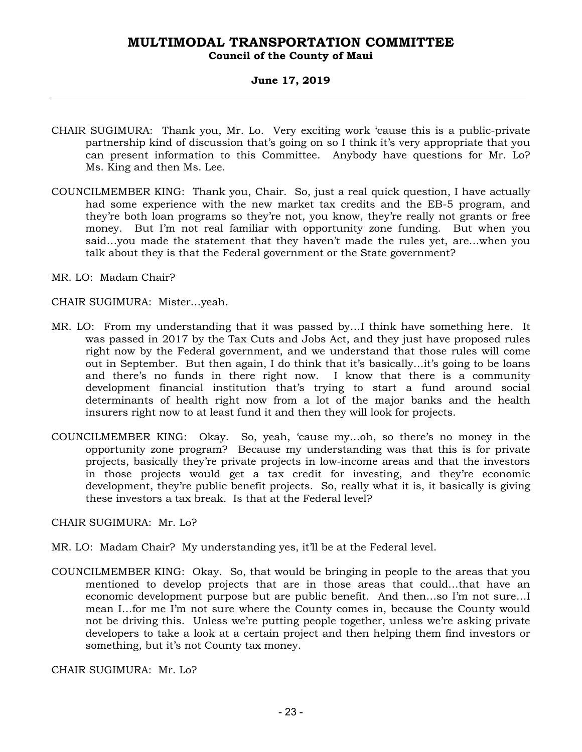#### **Council of the County of Maui**

#### **June 17, 2019**

- CHAIR SUGIMURA: Thank you, Mr. Lo. Very exciting work 'cause this is a public-private partnership kind of discussion that's going on so I think it's very appropriate that you can present information to this Committee. Anybody have questions for Mr. Lo? Ms. King and then Ms. Lee.
- COUNCILMEMBER KING: Thank you, Chair. So, just a real quick question, I have actually had some experience with the new market tax credits and the EB-5 program, and they're both loan programs so they're not, you know, they're really not grants or free money. But I'm not real familiar with opportunity zone funding. But when you said…you made the statement that they haven't made the rules yet, are…when you talk about they is that the Federal government or the State government?
- MR. LO: Madam Chair?
- CHAIR SUGIMURA: Mister…yeah.
- MR. LO: From my understanding that it was passed by…I think have something here. It was passed in 2017 by the Tax Cuts and Jobs Act, and they just have proposed rules right now by the Federal government, and we understand that those rules will come out in September. But then again, I do think that it's basically…it's going to be loans and there's no funds in there right now. I know that there is a community development financial institution that's trying to start a fund around social determinants of health right now from a lot of the major banks and the health insurers right now to at least fund it and then they will look for projects.
- COUNCILMEMBER KING: Okay. So, yeah, 'cause my…oh, so there's no money in the opportunity zone program? Because my understanding was that this is for private projects, basically they're private projects in low-income areas and that the investors in those projects would get a tax credit for investing, and they're economic development, they're public benefit projects. So, really what it is, it basically is giving these investors a tax break. Is that at the Federal level?

CHAIR SUGIMURA: Mr. Lo?

- MR. LO: Madam Chair? My understanding yes, it'll be at the Federal level.
- COUNCILMEMBER KING: Okay. So, that would be bringing in people to the areas that you mentioned to develop projects that are in those areas that could…that have an economic development purpose but are public benefit. And then…so I'm not sure…I mean I…for me I'm not sure where the County comes in, because the County would not be driving this. Unless we're putting people together, unless we're asking private developers to take a look at a certain project and then helping them find investors or something, but it's not County tax money.

CHAIR SUGIMURA: Mr. Lo?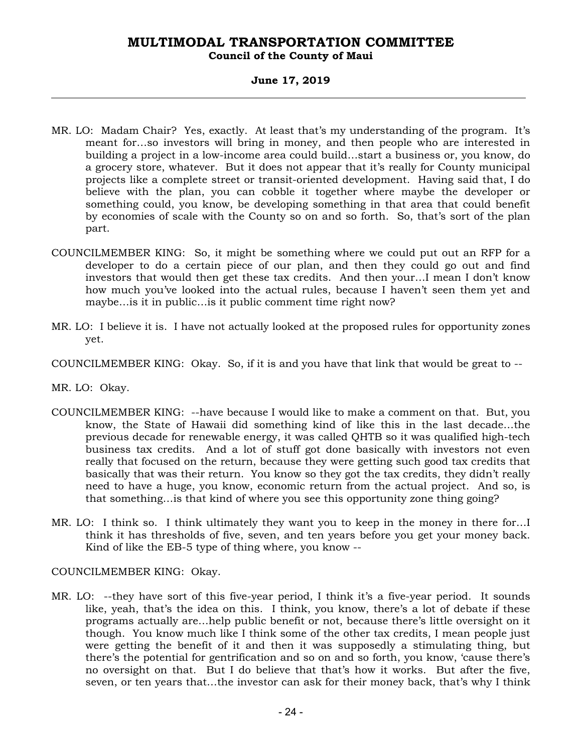#### **Council of the County of Maui**

#### **June 17, 2019**

- MR. LO: Madam Chair? Yes, exactly. At least that's my understanding of the program. It's meant for…so investors will bring in money, and then people who are interested in building a project in a low-income area could build…start a business or, you know, do a grocery store, whatever. But it does not appear that it's really for County municipal projects like a complete street or transit-oriented development. Having said that, I do believe with the plan, you can cobble it together where maybe the developer or something could, you know, be developing something in that area that could benefit by economies of scale with the County so on and so forth. So, that's sort of the plan part.
- COUNCILMEMBER KING: So, it might be something where we could put out an RFP for a developer to do a certain piece of our plan, and then they could go out and find investors that would then get these tax credits. And then your…I mean I don't know how much you've looked into the actual rules, because I haven't seen them yet and maybe…is it in public…is it public comment time right now?
- MR. LO: I believe it is. I have not actually looked at the proposed rules for opportunity zones yet.
- COUNCILMEMBER KING: Okay. So, if it is and you have that link that would be great to --
- MR. LO: Okay.
- COUNCILMEMBER KING: --have because I would like to make a comment on that. But, you know, the State of Hawaii did something kind of like this in the last decade…the previous decade for renewable energy, it was called QHTB so it was qualified high-tech business tax credits. And a lot of stuff got done basically with investors not even really that focused on the return, because they were getting such good tax credits that basically that was their return. You know so they got the tax credits, they didn't really need to have a huge, you know, economic return from the actual project. And so, is that something…is that kind of where you see this opportunity zone thing going?
- MR. LO: I think so. I think ultimately they want you to keep in the money in there for…I think it has thresholds of five, seven, and ten years before you get your money back. Kind of like the EB-5 type of thing where, you know --

COUNCILMEMBER KING: Okay.

MR. LO: --they have sort of this five-year period, I think it's a five-year period. It sounds like, yeah, that's the idea on this. I think, you know, there's a lot of debate if these programs actually are…help public benefit or not, because there's little oversight on it though. You know much like I think some of the other tax credits, I mean people just were getting the benefit of it and then it was supposedly a stimulating thing, but there's the potential for gentrification and so on and so forth, you know, 'cause there's no oversight on that. But I do believe that that's how it works. But after the five, seven, or ten years that…the investor can ask for their money back, that's why I think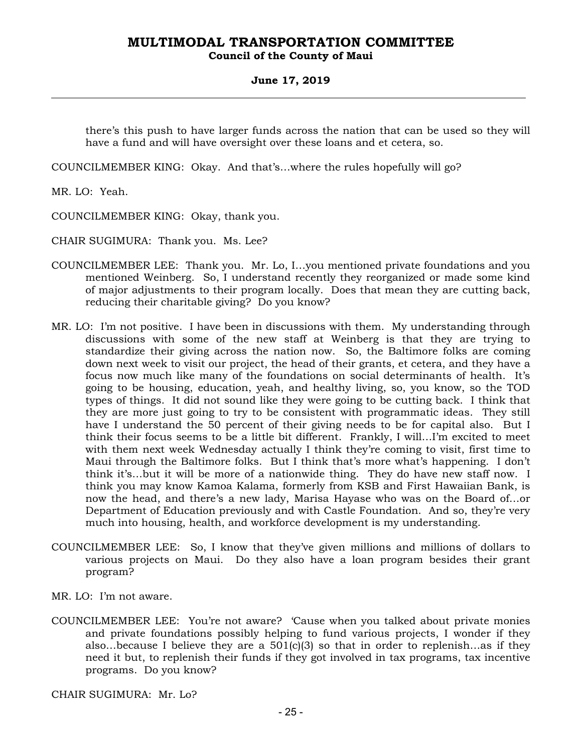#### **Council of the County of Maui**

#### **June 17, 2019**

there's this push to have larger funds across the nation that can be used so they will have a fund and will have oversight over these loans and et cetera, so.

COUNCILMEMBER KING: Okay. And that's…where the rules hopefully will go?

MR. LO: Yeah.

COUNCILMEMBER KING: Okay, thank you.

CHAIR SUGIMURA: Thank you. Ms. Lee?

- COUNCILMEMBER LEE: Thank you. Mr. Lo, I…you mentioned private foundations and you mentioned Weinberg. So, I understand recently they reorganized or made some kind of major adjustments to their program locally. Does that mean they are cutting back, reducing their charitable giving? Do you know?
- MR. LO: I'm not positive. I have been in discussions with them. My understanding through discussions with some of the new staff at Weinberg is that they are trying to standardize their giving across the nation now. So, the Baltimore folks are coming down next week to visit our project, the head of their grants, et cetera, and they have a focus now much like many of the foundations on social determinants of health. It's going to be housing, education, yeah, and healthy living, so, you know, so the TOD types of things. It did not sound like they were going to be cutting back. I think that they are more just going to try to be consistent with programmatic ideas. They still have I understand the 50 percent of their giving needs to be for capital also. But I think their focus seems to be a little bit different. Frankly, I will…I'm excited to meet with them next week Wednesday actually I think they're coming to visit, first time to Maui through the Baltimore folks. But I think that's more what's happening. I don't think it's…but it will be more of a nationwide thing. They do have new staff now. I think you may know Kamoa Kalama, formerly from KSB and First Hawaiian Bank, is now the head, and there's a new lady, Marisa Hayase who was on the Board of…or Department of Education previously and with Castle Foundation. And so, they're very much into housing, health, and workforce development is my understanding.
- COUNCILMEMBER LEE: So, I know that they've given millions and millions of dollars to various projects on Maui. Do they also have a loan program besides their grant program?

MR. LO: I'm not aware.

COUNCILMEMBER LEE: You're not aware? 'Cause when you talked about private monies and private foundations possibly helping to fund various projects, I wonder if they also...because I believe they are a  $501(c)(3)$  so that in order to replenish...as if they need it but, to replenish their funds if they got involved in tax programs, tax incentive programs. Do you know?

CHAIR SUGIMURA: Mr. Lo?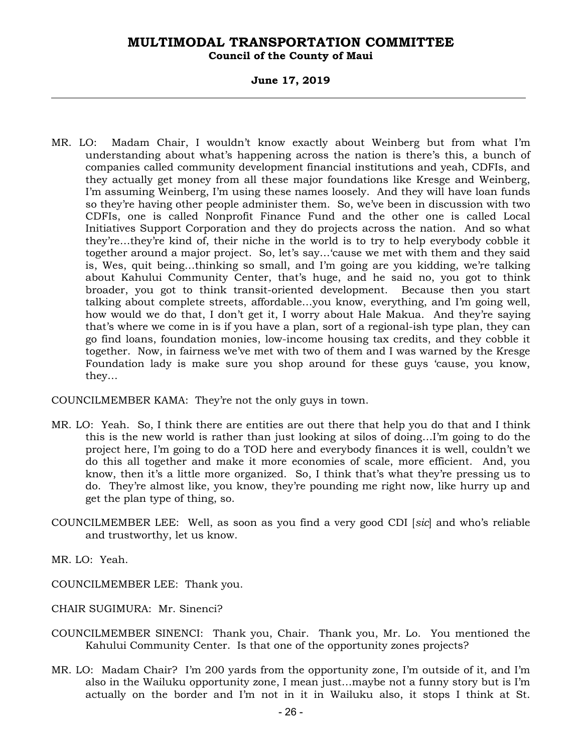**Council of the County of Maui** 

**June 17, 2019** 

MR. LO: Madam Chair, I wouldn't know exactly about Weinberg but from what I'm understanding about what's happening across the nation is there's this, a bunch of companies called community development financial institutions and yeah, CDFIs, and they actually get money from all these major foundations like Kresge and Weinberg, I'm assuming Weinberg, I'm using these names loosely. And they will have loan funds so they're having other people administer them. So, we've been in discussion with two CDFIs, one is called Nonprofit Finance Fund and the other one is called Local Initiatives Support Corporation and they do projects across the nation. And so what they're…they're kind of, their niche in the world is to try to help everybody cobble it together around a major project. So, let's say…'cause we met with them and they said is, Wes, quit being…thinking so small, and I'm going are you kidding, we're talking about Kahului Community Center, that's huge, and he said no, you got to think broader, you got to think transit-oriented development. Because then you start talking about complete streets, affordable…you know, everything, and I'm going well, how would we do that, I don't get it, I worry about Hale Makua. And they're saying that's where we come in is if you have a plan, sort of a regional-ish type plan, they can go find loans, foundation monies, low-income housing tax credits, and they cobble it together. Now, in fairness we've met with two of them and I was warned by the Kresge Foundation lady is make sure you shop around for these guys 'cause, you know, they…

COUNCILMEMBER KAMA: They're not the only guys in town.

- MR. LO: Yeah. So, I think there are entities are out there that help you do that and I think this is the new world is rather than just looking at silos of doing…I'm going to do the project here, I'm going to do a TOD here and everybody finances it is well, couldn't we do this all together and make it more economies of scale, more efficient. And, you know, then it's a little more organized. So, I think that's what they're pressing us to do. They're almost like, you know, they're pounding me right now, like hurry up and get the plan type of thing, so.
- COUNCILMEMBER LEE: Well, as soon as you find a very good CDI [*sic*] and who's reliable and trustworthy, let us know.

MR. LO: Yeah.

COUNCILMEMBER LEE: Thank you.

CHAIR SUGIMURA: Mr. Sinenci?

- COUNCILMEMBER SINENCI: Thank you, Chair. Thank you, Mr. Lo. You mentioned the Kahului Community Center. Is that one of the opportunity zones projects?
- MR. LO: Madam Chair? I'm 200 yards from the opportunity zone, I'm outside of it, and I'm also in the Wailuku opportunity zone, I mean just…maybe not a funny story but is I'm actually on the border and I'm not in it in Wailuku also, it stops I think at St.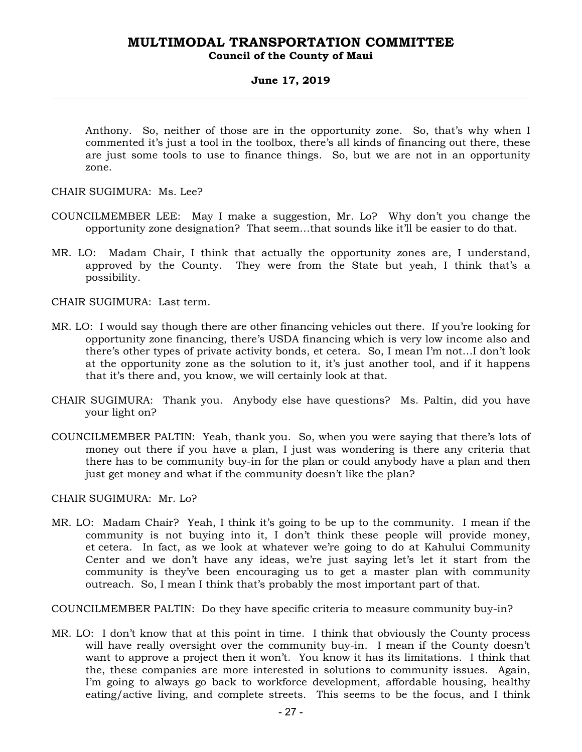#### **MULTIMODAL TRANSPORTATION COMMITTEE Council of the County of Maui**

#### **June 17, 2019**

Anthony. So, neither of those are in the opportunity zone. So, that's why when I commented it's just a tool in the toolbox, there's all kinds of financing out there, these are just some tools to use to finance things. So, but we are not in an opportunity zone.

CHAIR SUGIMURA: Ms. Lee?

- COUNCILMEMBER LEE: May I make a suggestion, Mr. Lo? Why don't you change the opportunity zone designation? That seem…that sounds like it'll be easier to do that.
- MR. LO: Madam Chair, I think that actually the opportunity zones are, I understand, approved by the County. They were from the State but yeah, I think that's a possibility.

CHAIR SUGIMURA: Last term.

- MR. LO: I would say though there are other financing vehicles out there. If you're looking for opportunity zone financing, there's USDA financing which is very low income also and there's other types of private activity bonds, et cetera. So, I mean I'm not…I don't look at the opportunity zone as the solution to it, it's just another tool, and if it happens that it's there and, you know, we will certainly look at that.
- CHAIR SUGIMURA: Thank you. Anybody else have questions? Ms. Paltin, did you have your light on?
- COUNCILMEMBER PALTIN: Yeah, thank you. So, when you were saying that there's lots of money out there if you have a plan, I just was wondering is there any criteria that there has to be community buy-in for the plan or could anybody have a plan and then just get money and what if the community doesn't like the plan?

CHAIR SUGIMURA: Mr. Lo?

MR. LO: Madam Chair? Yeah, I think it's going to be up to the community. I mean if the community is not buying into it, I don't think these people will provide money, et cetera. In fact, as we look at whatever we're going to do at Kahului Community Center and we don't have any ideas, we're just saying let's let it start from the community is they've been encouraging us to get a master plan with community outreach. So, I mean I think that's probably the most important part of that.

COUNCILMEMBER PALTIN: Do they have specific criteria to measure community buy-in?

MR. LO: I don't know that at this point in time. I think that obviously the County process will have really oversight over the community buy-in. I mean if the County doesn't want to approve a project then it won't. You know it has its limitations. I think that the, these companies are more interested in solutions to community issues. Again, I'm going to always go back to workforce development, affordable housing, healthy eating/active living, and complete streets. This seems to be the focus, and I think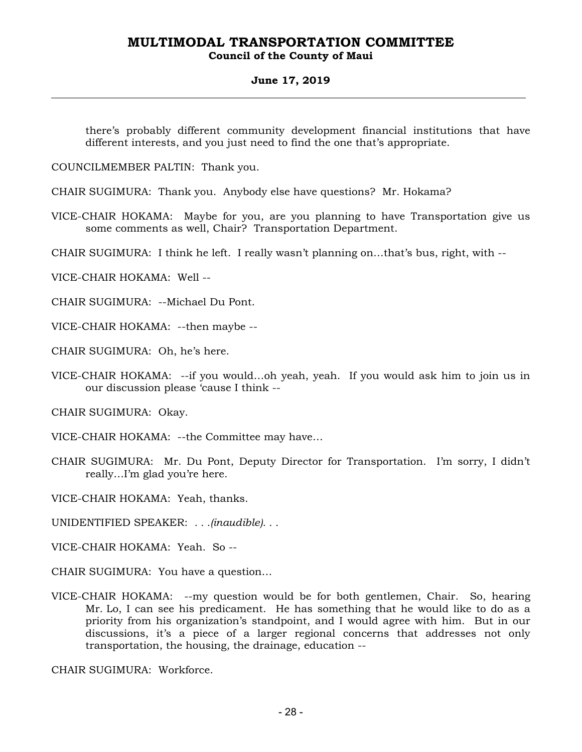#### **Council of the County of Maui**

#### **June 17, 2019**

there's probably different community development financial institutions that have different interests, and you just need to find the one that's appropriate.

COUNCILMEMBER PALTIN: Thank you.

CHAIR SUGIMURA: Thank you. Anybody else have questions? Mr. Hokama?

VICE-CHAIR HOKAMA: Maybe for you, are you planning to have Transportation give us some comments as well, Chair? Transportation Department.

CHAIR SUGIMURA: I think he left. I really wasn't planning on…that's bus, right, with --

VICE-CHAIR HOKAMA: Well --

CHAIR SUGIMURA: --Michael Du Pont.

VICE-CHAIR HOKAMA: --then maybe --

CHAIR SUGIMURA: Oh, he's here.

VICE-CHAIR HOKAMA: --if you would…oh yeah, yeah. If you would ask him to join us in our discussion please 'cause I think --

CHAIR SUGIMURA: Okay.

VICE-CHAIR HOKAMA: --the Committee may have…

CHAIR SUGIMURA: Mr. Du Pont, Deputy Director for Transportation. I'm sorry, I didn't really…I'm glad you're here.

VICE-CHAIR HOKAMA: Yeah, thanks.

UNIDENTIFIED SPEAKER: *. . .(inaudible). . .*

VICE-CHAIR HOKAMA: Yeah. So --

CHAIR SUGIMURA: You have a question…

VICE-CHAIR HOKAMA: --my question would be for both gentlemen, Chair. So, hearing Mr. Lo, I can see his predicament. He has something that he would like to do as a priority from his organization's standpoint, and I would agree with him. But in our discussions, it's a piece of a larger regional concerns that addresses not only transportation, the housing, the drainage, education --

CHAIR SUGIMURA: Workforce.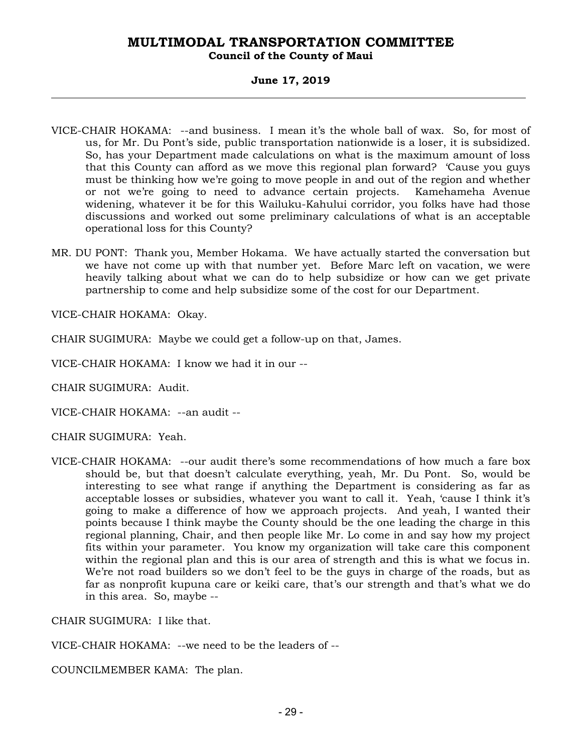#### **Council of the County of Maui**

#### **June 17, 2019**

- VICE-CHAIR HOKAMA: --and business. I mean it's the whole ball of wax. So, for most of us, for Mr. Du Pont's side, public transportation nationwide is a loser, it is subsidized. So, has your Department made calculations on what is the maximum amount of loss that this County can afford as we move this regional plan forward? 'Cause you guys must be thinking how we're going to move people in and out of the region and whether or not we're going to need to advance certain projects. Kamehameha Avenue widening, whatever it be for this Wailuku-Kahului corridor, you folks have had those discussions and worked out some preliminary calculations of what is an acceptable operational loss for this County?
- MR. DU PONT: Thank you, Member Hokama. We have actually started the conversation but we have not come up with that number yet. Before Marc left on vacation, we were heavily talking about what we can do to help subsidize or how can we get private partnership to come and help subsidize some of the cost for our Department.

VICE-CHAIR HOKAMA: Okay.

CHAIR SUGIMURA: Maybe we could get a follow-up on that, James.

VICE-CHAIR HOKAMA: I know we had it in our --

CHAIR SUGIMURA: Audit.

VICE-CHAIR HOKAMA: --an audit --

CHAIR SUGIMURA: Yeah.

VICE-CHAIR HOKAMA: --our audit there's some recommendations of how much a fare box should be, but that doesn't calculate everything, yeah, Mr. Du Pont. So, would be interesting to see what range if anything the Department is considering as far as acceptable losses or subsidies, whatever you want to call it. Yeah, 'cause I think it's going to make a difference of how we approach projects. And yeah, I wanted their points because I think maybe the County should be the one leading the charge in this regional planning, Chair, and then people like Mr. Lo come in and say how my project fits within your parameter. You know my organization will take care this component within the regional plan and this is our area of strength and this is what we focus in. We're not road builders so we don't feel to be the guys in charge of the roads, but as far as nonprofit kupuna care or keiki care, that's our strength and that's what we do in this area. So, maybe --

CHAIR SUGIMURA: I like that.

VICE-CHAIR HOKAMA: --we need to be the leaders of --

COUNCILMEMBER KAMA: The plan.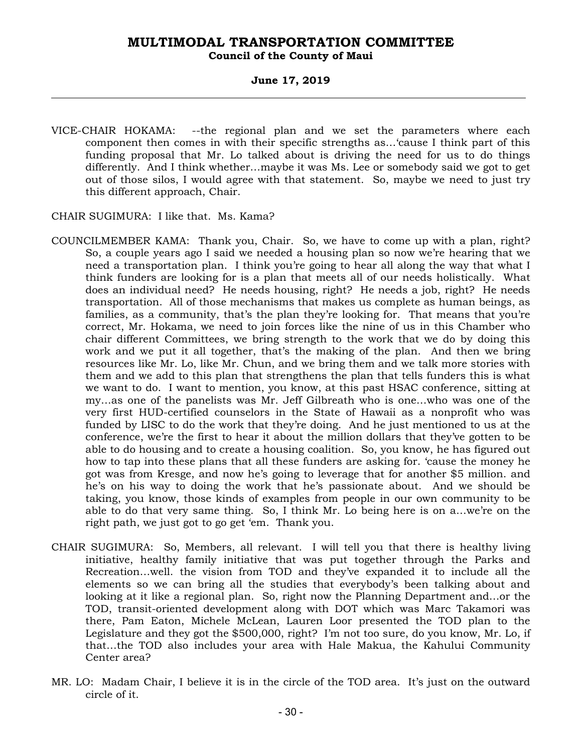#### **MULTIMODAL TRANSPORTATION COMMITTEE Council of the County of Maui**

#### **June 17, 2019**

VICE-CHAIR HOKAMA: --the regional plan and we set the parameters where each component then comes in with their specific strengths as…'cause I think part of this funding proposal that Mr. Lo talked about is driving the need for us to do things differently. And I think whether…maybe it was Ms. Lee or somebody said we got to get out of those silos, I would agree with that statement. So, maybe we need to just try this different approach, Chair.

CHAIR SUGIMURA: I like that. Ms. Kama?

- COUNCILMEMBER KAMA: Thank you, Chair. So, we have to come up with a plan, right? So, a couple years ago I said we needed a housing plan so now we're hearing that we need a transportation plan. I think you're going to hear all along the way that what I think funders are looking for is a plan that meets all of our needs holistically. What does an individual need? He needs housing, right? He needs a job, right? He needs transportation. All of those mechanisms that makes us complete as human beings, as families, as a community, that's the plan they're looking for. That means that you're correct, Mr. Hokama, we need to join forces like the nine of us in this Chamber who chair different Committees, we bring strength to the work that we do by doing this work and we put it all together, that's the making of the plan. And then we bring resources like Mr. Lo, like Mr. Chun, and we bring them and we talk more stories with them and we add to this plan that strengthens the plan that tells funders this is what we want to do. I want to mention, you know, at this past HSAC conference, sitting at my…as one of the panelists was Mr. Jeff Gilbreath who is one…who was one of the very first HUD-certified counselors in the State of Hawaii as a nonprofit who was funded by LISC to do the work that they're doing. And he just mentioned to us at the conference, we're the first to hear it about the million dollars that they've gotten to be able to do housing and to create a housing coalition. So, you know, he has figured out how to tap into these plans that all these funders are asking for. 'cause the money he got was from Kresge, and now he's going to leverage that for another \$5 million. and he's on his way to doing the work that he's passionate about. And we should be taking, you know, those kinds of examples from people in our own community to be able to do that very same thing. So, I think Mr. Lo being here is on a…we're on the right path, we just got to go get 'em. Thank you.
- CHAIR SUGIMURA: So, Members, all relevant. I will tell you that there is healthy living initiative, healthy family initiative that was put together through the Parks and Recreation…well. the vision from TOD and they've expanded it to include all the elements so we can bring all the studies that everybody's been talking about and looking at it like a regional plan. So, right now the Planning Department and…or the TOD, transit-oriented development along with DOT which was Marc Takamori was there, Pam Eaton, Michele McLean, Lauren Loor presented the TOD plan to the Legislature and they got the \$500,000, right? I'm not too sure, do you know, Mr. Lo, if that…the TOD also includes your area with Hale Makua, the Kahului Community Center area?
- MR. LO: Madam Chair, I believe it is in the circle of the TOD area. It's just on the outward circle of it.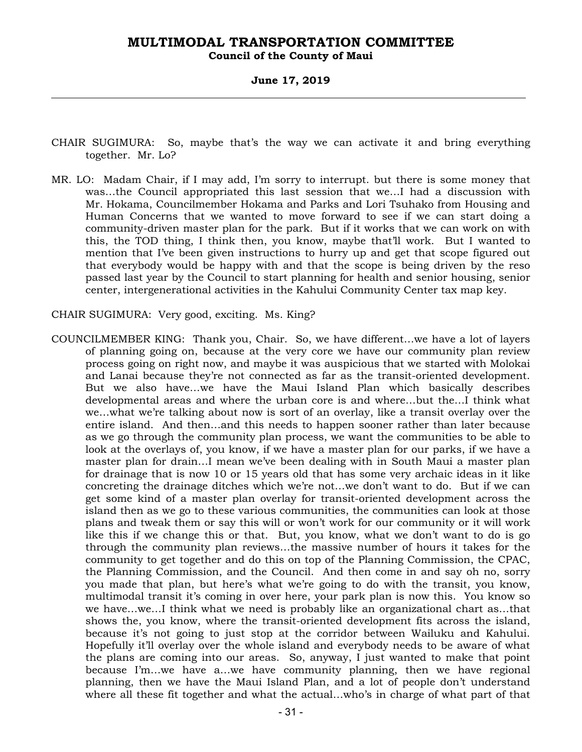**Council of the County of Maui** 

**June 17, 2019** 

- CHAIR SUGIMURA: So, maybe that's the way we can activate it and bring everything together. Mr. Lo?
- MR. LO: Madam Chair, if I may add, I'm sorry to interrupt. but there is some money that was…the Council appropriated this last session that we…I had a discussion with Mr. Hokama, Councilmember Hokama and Parks and Lori Tsuhako from Housing and Human Concerns that we wanted to move forward to see if we can start doing a community-driven master plan for the park. But if it works that we can work on with this, the TOD thing, I think then, you know, maybe that'll work. But I wanted to mention that I've been given instructions to hurry up and get that scope figured out that everybody would be happy with and that the scope is being driven by the reso passed last year by the Council to start planning for health and senior housing, senior center, intergenerational activities in the Kahului Community Center tax map key.
- CHAIR SUGIMURA: Very good, exciting. Ms. King?
- COUNCILMEMBER KING: Thank you, Chair. So, we have different…we have a lot of layers of planning going on, because at the very core we have our community plan review process going on right now, and maybe it was auspicious that we started with Molokai and Lanai because they're not connected as far as the transit-oriented development. But we also have…we have the Maui Island Plan which basically describes developmental areas and where the urban core is and where…but the…I think what we…what we're talking about now is sort of an overlay, like a transit overlay over the entire island. And then…and this needs to happen sooner rather than later because as we go through the community plan process, we want the communities to be able to look at the overlays of, you know, if we have a master plan for our parks, if we have a master plan for drain…I mean we've been dealing with in South Maui a master plan for drainage that is now 10 or 15 years old that has some very archaic ideas in it like concreting the drainage ditches which we're not…we don't want to do. But if we can get some kind of a master plan overlay for transit-oriented development across the island then as we go to these various communities, the communities can look at those plans and tweak them or say this will or won't work for our community or it will work like this if we change this or that. But, you know, what we don't want to do is go through the community plan reviews…the massive number of hours it takes for the community to get together and do this on top of the Planning Commission, the CPAC, the Planning Commission, and the Council. And then come in and say oh no, sorry you made that plan, but here's what we're going to do with the transit, you know, multimodal transit it's coming in over here, your park plan is now this. You know so we have…we…I think what we need is probably like an organizational chart as…that shows the, you know, where the transit-oriented development fits across the island, because it's not going to just stop at the corridor between Wailuku and Kahului. Hopefully it'll overlay over the whole island and everybody needs to be aware of what the plans are coming into our areas. So, anyway, I just wanted to make that point because I'm…we have a…we have community planning, then we have regional planning, then we have the Maui Island Plan, and a lot of people don't understand where all these fit together and what the actual…who's in charge of what part of that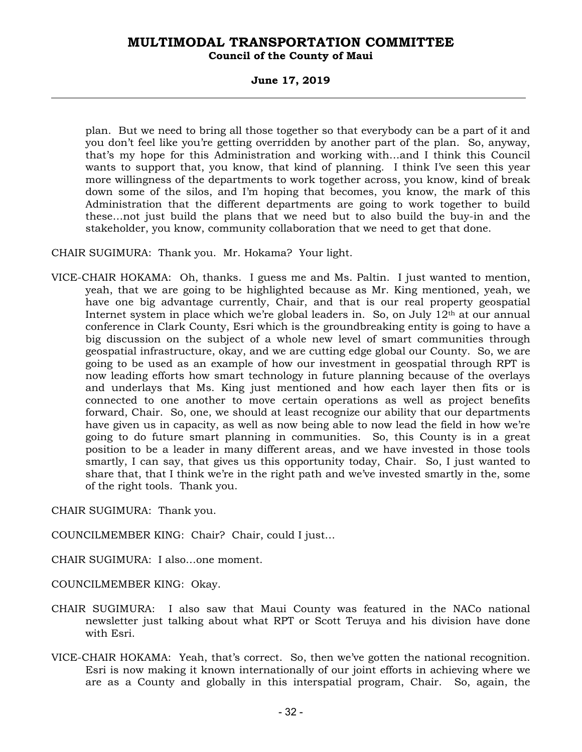#### **Council of the County of Maui**

#### **June 17, 2019**

plan. But we need to bring all those together so that everybody can be a part of it and you don't feel like you're getting overridden by another part of the plan. So, anyway, that's my hope for this Administration and working with…and I think this Council wants to support that, you know, that kind of planning. I think I've seen this year more willingness of the departments to work together across, you know, kind of break down some of the silos, and I'm hoping that becomes, you know, the mark of this Administration that the different departments are going to work together to build these…not just build the plans that we need but to also build the buy-in and the stakeholder, you know, community collaboration that we need to get that done.

CHAIR SUGIMURA: Thank you. Mr. Hokama? Your light.

VICE-CHAIR HOKAMA: Oh, thanks. I guess me and Ms. Paltin. I just wanted to mention, yeah, that we are going to be highlighted because as Mr. King mentioned, yeah, we have one big advantage currently, Chair, and that is our real property geospatial Internet system in place which we're global leaders in. So, on July  $12<sup>th</sup>$  at our annual conference in Clark County, Esri which is the groundbreaking entity is going to have a big discussion on the subject of a whole new level of smart communities through geospatial infrastructure, okay, and we are cutting edge global our County. So, we are going to be used as an example of how our investment in geospatial through RPT is now leading efforts how smart technology in future planning because of the overlays and underlays that Ms. King just mentioned and how each layer then fits or is connected to one another to move certain operations as well as project benefits forward, Chair. So, one, we should at least recognize our ability that our departments have given us in capacity, as well as now being able to now lead the field in how we're going to do future smart planning in communities. So, this County is in a great position to be a leader in many different areas, and we have invested in those tools smartly, I can say, that gives us this opportunity today, Chair. So, I just wanted to share that, that I think we're in the right path and we've invested smartly in the, some of the right tools. Thank you.

CHAIR SUGIMURA: Thank you.

COUNCILMEMBER KING: Chair? Chair, could I just…

CHAIR SUGIMURA: I also…one moment.

COUNCILMEMBER KING: Okay.

- CHAIR SUGIMURA: I also saw that Maui County was featured in the NACo national newsletter just talking about what RPT or Scott Teruya and his division have done with Esri.
- VICE-CHAIR HOKAMA: Yeah, that's correct. So, then we've gotten the national recognition. Esri is now making it known internationally of our joint efforts in achieving where we are as a County and globally in this interspatial program, Chair. So, again, the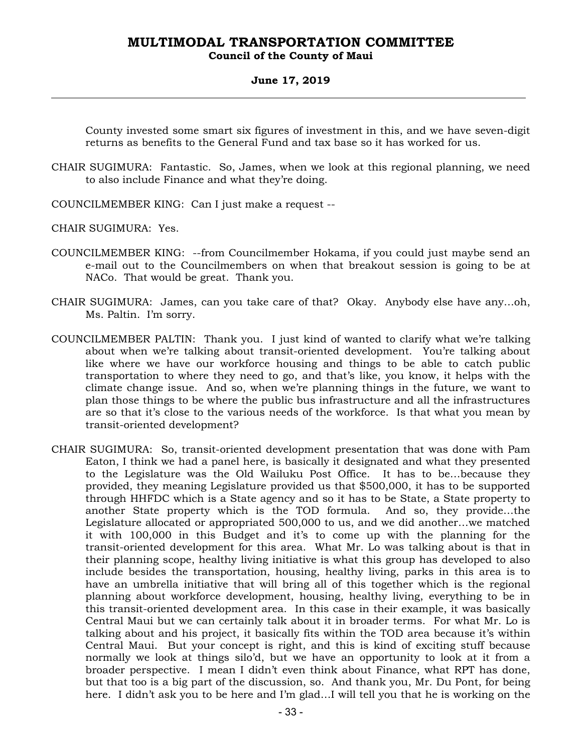#### **Council of the County of Maui**

#### **June 17, 2019**

County invested some smart six figures of investment in this, and we have seven-digit returns as benefits to the General Fund and tax base so it has worked for us.

- CHAIR SUGIMURA: Fantastic. So, James, when we look at this regional planning, we need to also include Finance and what they're doing.
- COUNCILMEMBER KING: Can I just make a request --

CHAIR SUGIMURA: Yes.

- COUNCILMEMBER KING: --from Councilmember Hokama, if you could just maybe send an e-mail out to the Councilmembers on when that breakout session is going to be at NACo. That would be great. Thank you.
- CHAIR SUGIMURA: James, can you take care of that? Okay. Anybody else have any…oh, Ms. Paltin. I'm sorry.
- COUNCILMEMBER PALTIN: Thank you. I just kind of wanted to clarify what we're talking about when we're talking about transit-oriented development. You're talking about like where we have our workforce housing and things to be able to catch public transportation to where they need to go, and that's like, you know, it helps with the climate change issue. And so, when we're planning things in the future, we want to plan those things to be where the public bus infrastructure and all the infrastructures are so that it's close to the various needs of the workforce. Is that what you mean by transit-oriented development?
- CHAIR SUGIMURA: So, transit-oriented development presentation that was done with Pam Eaton, I think we had a panel here, is basically it designated and what they presented to the Legislature was the Old Wailuku Post Office. It has to be…because they provided, they meaning Legislature provided us that \$500,000, it has to be supported through HHFDC which is a State agency and so it has to be State, a State property to another State property which is the TOD formula. And so, they provide…the Legislature allocated or appropriated 500,000 to us, and we did another…we matched it with 100,000 in this Budget and it's to come up with the planning for the transit-oriented development for this area. What Mr. Lo was talking about is that in their planning scope, healthy living initiative is what this group has developed to also include besides the transportation, housing, healthy living, parks in this area is to have an umbrella initiative that will bring all of this together which is the regional planning about workforce development, housing, healthy living, everything to be in this transit-oriented development area. In this case in their example, it was basically Central Maui but we can certainly talk about it in broader terms. For what Mr. Lo is talking about and his project, it basically fits within the TOD area because it's within Central Maui. But your concept is right, and this is kind of exciting stuff because normally we look at things silo'd, but we have an opportunity to look at it from a broader perspective. I mean I didn't even think about Finance, what RPT has done, but that too is a big part of the discussion, so. And thank you, Mr. Du Pont, for being here. I didn't ask you to be here and I'm glad…I will tell you that he is working on the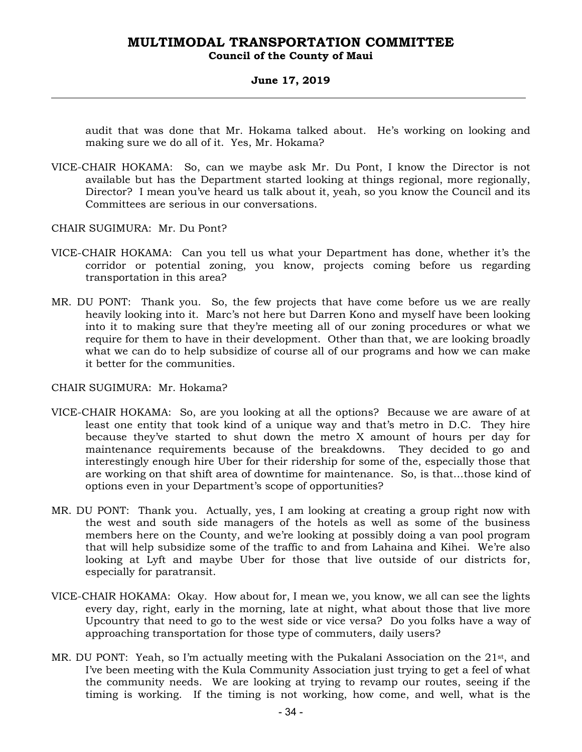#### **Council of the County of Maui**

#### **June 17, 2019**

audit that was done that Mr. Hokama talked about. He's working on looking and making sure we do all of it. Yes, Mr. Hokama?

VICE-CHAIR HOKAMA: So, can we maybe ask Mr. Du Pont, I know the Director is not available but has the Department started looking at things regional, more regionally, Director? I mean you've heard us talk about it, yeah, so you know the Council and its Committees are serious in our conversations.

CHAIR SUGIMURA: Mr. Du Pont?

- VICE-CHAIR HOKAMA: Can you tell us what your Department has done, whether it's the corridor or potential zoning, you know, projects coming before us regarding transportation in this area?
- MR. DU PONT: Thank you. So, the few projects that have come before us we are really heavily looking into it. Marc's not here but Darren Kono and myself have been looking into it to making sure that they're meeting all of our zoning procedures or what we require for them to have in their development. Other than that, we are looking broadly what we can do to help subsidize of course all of our programs and how we can make it better for the communities.

#### CHAIR SUGIMURA: Mr. Hokama?

- VICE-CHAIR HOKAMA: So, are you looking at all the options? Because we are aware of at least one entity that took kind of a unique way and that's metro in D.C. They hire because they've started to shut down the metro X amount of hours per day for maintenance requirements because of the breakdowns. They decided to go and interestingly enough hire Uber for their ridership for some of the, especially those that are working on that shift area of downtime for maintenance. So, is that…those kind of options even in your Department's scope of opportunities?
- MR. DU PONT: Thank you. Actually, yes, I am looking at creating a group right now with the west and south side managers of the hotels as well as some of the business members here on the County, and we're looking at possibly doing a van pool program that will help subsidize some of the traffic to and from Lahaina and Kihei. We're also looking at Lyft and maybe Uber for those that live outside of our districts for, especially for paratransit.
- VICE-CHAIR HOKAMA: Okay. How about for, I mean we, you know, we all can see the lights every day, right, early in the morning, late at night, what about those that live more Upcountry that need to go to the west side or vice versa? Do you folks have a way of approaching transportation for those type of commuters, daily users?
- MR. DU PONT: Yeah, so I'm actually meeting with the Pukalani Association on the 21st, and I've been meeting with the Kula Community Association just trying to get a feel of what the community needs. We are looking at trying to revamp our routes, seeing if the timing is working. If the timing is not working, how come, and well, what is the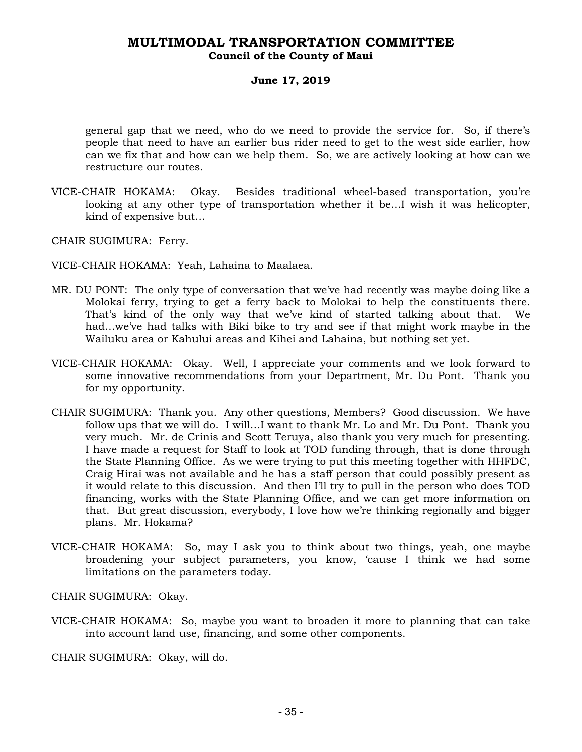### **Council of the County of Maui**

#### **June 17, 2019**

general gap that we need, who do we need to provide the service for. So, if there's people that need to have an earlier bus rider need to get to the west side earlier, how can we fix that and how can we help them. So, we are actively looking at how can we restructure our routes.

VICE-CHAIR HOKAMA: Okay. Besides traditional wheel-based transportation, you're looking at any other type of transportation whether it be…I wish it was helicopter, kind of expensive but…

CHAIR SUGIMURA: Ferry.

VICE-CHAIR HOKAMA: Yeah, Lahaina to Maalaea.

- MR. DU PONT: The only type of conversation that we've had recently was maybe doing like a Molokai ferry, trying to get a ferry back to Molokai to help the constituents there. That's kind of the only way that we've kind of started talking about that. We had…we've had talks with Biki bike to try and see if that might work maybe in the Wailuku area or Kahului areas and Kihei and Lahaina, but nothing set yet.
- VICE-CHAIR HOKAMA: Okay. Well, I appreciate your comments and we look forward to some innovative recommendations from your Department, Mr. Du Pont. Thank you for my opportunity.
- CHAIR SUGIMURA: Thank you. Any other questions, Members? Good discussion. We have follow ups that we will do. I will…I want to thank Mr. Lo and Mr. Du Pont. Thank you very much. Mr. de Crinis and Scott Teruya, also thank you very much for presenting. I have made a request for Staff to look at TOD funding through, that is done through the State Planning Office. As we were trying to put this meeting together with HHFDC, Craig Hirai was not available and he has a staff person that could possibly present as it would relate to this discussion. And then I'll try to pull in the person who does TOD financing, works with the State Planning Office, and we can get more information on that. But great discussion, everybody, I love how we're thinking regionally and bigger plans. Mr. Hokama?
- VICE-CHAIR HOKAMA: So, may I ask you to think about two things, yeah, one maybe broadening your subject parameters, you know, 'cause I think we had some limitations on the parameters today.

CHAIR SUGIMURA: Okay.

VICE-CHAIR HOKAMA: So, maybe you want to broaden it more to planning that can take into account land use, financing, and some other components.

CHAIR SUGIMURA: Okay, will do.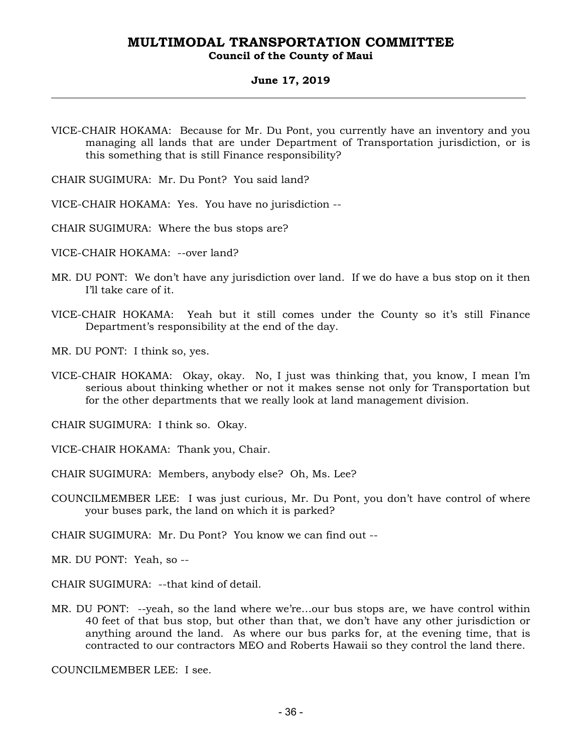#### **Council of the County of Maui**

#### **June 17, 2019**

- VICE-CHAIR HOKAMA: Because for Mr. Du Pont, you currently have an inventory and you managing all lands that are under Department of Transportation jurisdiction, or is this something that is still Finance responsibility?
- CHAIR SUGIMURA: Mr. Du Pont? You said land?
- VICE-CHAIR HOKAMA: Yes. You have no jurisdiction --
- CHAIR SUGIMURA: Where the bus stops are?
- VICE-CHAIR HOKAMA: --over land?
- MR. DU PONT: We don't have any jurisdiction over land. If we do have a bus stop on it then I'll take care of it.
- VICE-CHAIR HOKAMA: Yeah but it still comes under the County so it's still Finance Department's responsibility at the end of the day.
- MR. DU PONT: I think so, yes.
- VICE-CHAIR HOKAMA: Okay, okay. No, I just was thinking that, you know, I mean I'm serious about thinking whether or not it makes sense not only for Transportation but for the other departments that we really look at land management division.

CHAIR SUGIMURA: I think so. Okay.

- VICE-CHAIR HOKAMA: Thank you, Chair.
- CHAIR SUGIMURA: Members, anybody else? Oh, Ms. Lee?
- COUNCILMEMBER LEE: I was just curious, Mr. Du Pont, you don't have control of where your buses park, the land on which it is parked?

CHAIR SUGIMURA: Mr. Du Pont? You know we can find out --

MR. DU PONT: Yeah, so --

CHAIR SUGIMURA: --that kind of detail.

MR. DU PONT: --yeah, so the land where we're…our bus stops are, we have control within 40 feet of that bus stop, but other than that, we don't have any other jurisdiction or anything around the land. As where our bus parks for, at the evening time, that is contracted to our contractors MEO and Roberts Hawaii so they control the land there.

COUNCILMEMBER LEE: I see.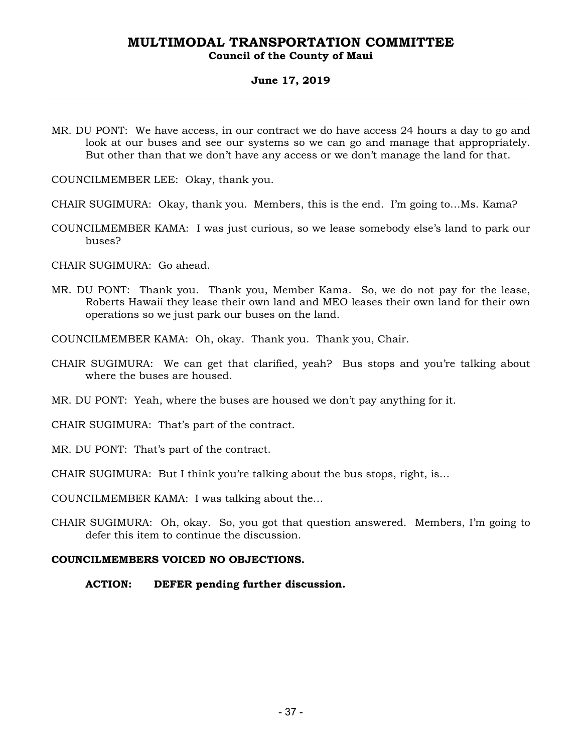#### **Council of the County of Maui**

#### **June 17, 2019**

MR. DU PONT: We have access, in our contract we do have access 24 hours a day to go and look at our buses and see our systems so we can go and manage that appropriately. But other than that we don't have any access or we don't manage the land for that.

COUNCILMEMBER LEE: Okay, thank you.

CHAIR SUGIMURA: Okay, thank you. Members, this is the end. I'm going to…Ms. Kama?

COUNCILMEMBER KAMA: I was just curious, so we lease somebody else's land to park our buses?

CHAIR SUGIMURA: Go ahead.

MR. DU PONT: Thank you. Thank you, Member Kama. So, we do not pay for the lease, Roberts Hawaii they lease their own land and MEO leases their own land for their own operations so we just park our buses on the land.

COUNCILMEMBER KAMA: Oh, okay. Thank you. Thank you, Chair.

- CHAIR SUGIMURA: We can get that clarified, yeah? Bus stops and you're talking about where the buses are housed.
- MR. DU PONT: Yeah, where the buses are housed we don't pay anything for it.

CHAIR SUGIMURA: That's part of the contract.

MR. DU PONT: That's part of the contract.

CHAIR SUGIMURA: But I think you're talking about the bus stops, right, is…

COUNCILMEMBER KAMA: I was talking about the…

CHAIR SUGIMURA: Oh, okay. So, you got that question answered. Members, I'm going to defer this item to continue the discussion.

#### **COUNCILMEMBERS VOICED NO OBJECTIONS.**

**ACTION: DEFER pending further discussion.**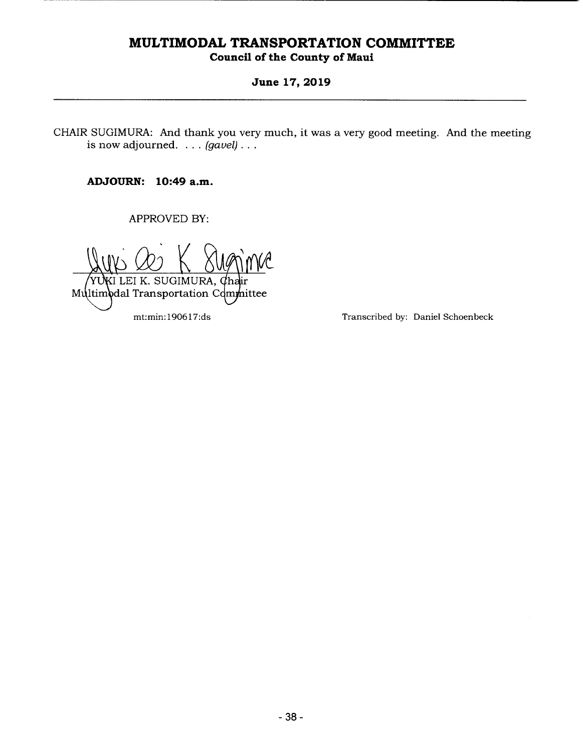### **Council of the County of Maui**

#### **June 17, 2019**

CHAIR SUGIMURA: And thank you very much, it was a very good meeting. And the meeting is now adjourned. . . . *(gavel).* 

**ADJOURN: 10:49 a.m.** 

APPROVED BY:

 $\frac{Q}{Q}$  K sugime EI K. SUGIMURA, mittee r Multimodal Transportation Com

mt:min: 1906 17:ds Transcribed by: Daniel Schoenbeck